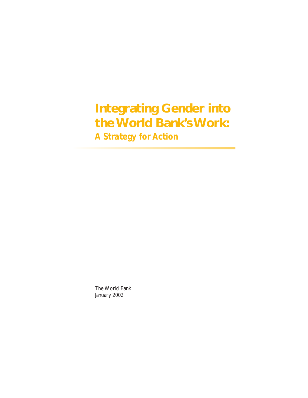# **Integrating Gender into the World Bank's Work:** *A Strategy for Action*

The World Bank January 2002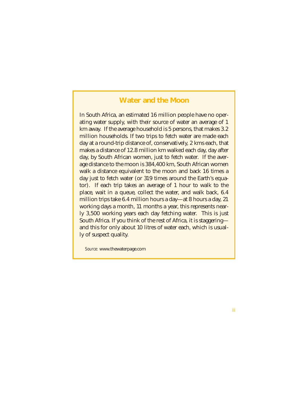## **Water and the Moon**

In South Africa, an estimated 16 million people have no operating water supply, with their source of water an average of 1 km away. If the average household is 5 persons, that makes 3.2 million households. If two trips to fetch water are made each day at a round-trip distance of, conservatively, 2 kms each, that makes a distance of 12.8 million km walked each day, day after day, by South African women, just to fetch water. If the average distance to the moon is 384,400 km, South African women walk a distance equivalent to the moon and back 16 times a day just to fetch water (or 319 times around the Earth's equator). If each trip takes an average of 1 hour to walk to the place, wait in a queue, collect the water, and walk back, 6.4 million trips take 6.4 million hours a day—at 8 hours a day, 21 working days a month, 11 months a year, this represents nearly 3,500 working years each day fetching water. This is just South Africa. If you think of the rest of Africa, it is staggering and this for only about 10 litres of water each, which is usually of suspect quality.

*Source:* www.thewaterpage.com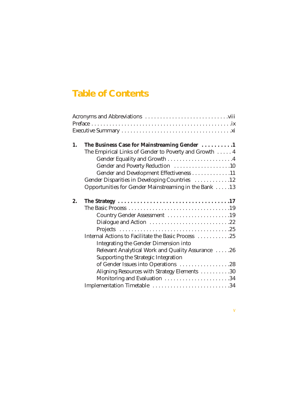# **Table of Contents**

| 1. | The Business Case for Mainstreaming Gender 1           |  |
|----|--------------------------------------------------------|--|
|    | The Empirical Links of Gender to Poverty and Growth  4 |  |
|    |                                                        |  |
|    | Gender and Poverty Reduction 10                        |  |
|    | Gender and Development Effectiveness 11                |  |
|    | Gender Disparities in Developing Countries 12          |  |
|    | Opportunities for Gender Mainstreaming in the Bank 13  |  |
| 2. |                                                        |  |
|    |                                                        |  |
|    | Country Gender Assessment 19                           |  |
|    | Dialogue and Action 22                                 |  |
|    |                                                        |  |
|    | Internal Actions to Facilitate the Basic Process 25    |  |
|    | <b>Integrating the Gender Dimension into</b>           |  |
|    | Relevant Analytical Work and Quality Assurance 26      |  |
|    | Supporting the Strategic Integration                   |  |
|    | of Gender Issues into Operations 28                    |  |
|    | Aligning Resources with Strategy Elements 30           |  |
|    |                                                        |  |
|    | Implementation Timetable 34                            |  |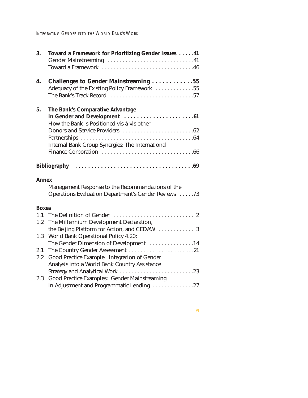INTEGRATING GENDER INTO THE WORLD BANK'S WORK

| 3.           | Toward a Framework for Prioritizing Gender Issues 41    |
|--------------|---------------------------------------------------------|
|              |                                                         |
|              | Toward a Framework 46                                   |
| 4.           | <b>Challenges to Gender Mainstreaming 55</b>            |
|              | Adequacy of the Existing Policy Framework 55            |
|              | The Bank's Track Record 57                              |
| 5.           | The Bank's Comparative Advantage                        |
|              |                                                         |
|              | How the Bank is Positioned vis-à-vis other              |
|              |                                                         |
|              |                                                         |
|              | <b>Internal Bank Group Synergies: The International</b> |
|              |                                                         |
|              |                                                         |
| <b>Annex</b> |                                                         |
|              | Management Response to the Recommendations of the       |
|              | Operations Evaluation Department's Gender Reviews 73    |
| <b>Boxes</b> |                                                         |
| 1.1          |                                                         |
| 1.2          | The Millennium Development Declaration,                 |
|              | the Beijing Platform for Action, and CEDAW  3           |
|              | 1.3 World Bank Operational Policy 4.20:                 |
|              | The Gender Dimension of Development 14                  |
| 2.1          | The Country Gender Assessment 21                        |
| $2.2\,$      | Good Practice Example: Integration of Gender            |
|              | Analysis into a World Bank Country Assistance           |
|              | Strategy and Analytical Work 23                         |
| 2.3          | Good Practice Examples: Gender Mainstreaming            |
|              | in Adjustment and Programmatic Lending 27               |
|              |                                                         |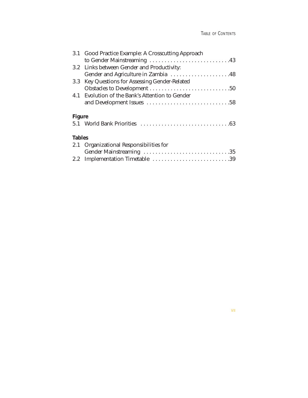|        | 3.1 Good Practice Example: A Crosscutting Approach |  |
|--------|----------------------------------------------------|--|
|        | to Gender Mainstreaming 43                         |  |
|        | 3.2 Links between Gender and Productivity:         |  |
|        | Gender and Agriculture in Zambia 48                |  |
|        | 3.3 Key Questions for Assessing Gender-Related     |  |
|        |                                                    |  |
|        | 4.1 Evolution of the Bank's Attention to Gender    |  |
|        |                                                    |  |
| Figure |                                                    |  |

### **Tables**

| 2.1 Organizational Responsibilities for |  |
|-----------------------------------------|--|
|                                         |  |
| 2.2 Implementation Timetable 39         |  |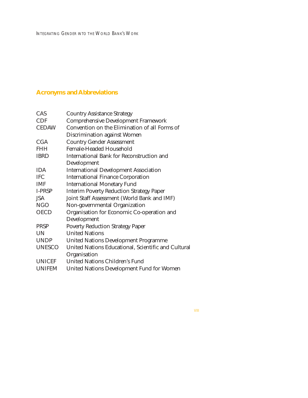## **Acronyms and Abbreviations**

| CAS           | <b>Country Assistance Strategy</b>                  |
|---------------|-----------------------------------------------------|
| <b>CDF</b>    | <b>Comprehensive Development Framework</b>          |
| <b>CEDAW</b>  | Convention on the Elimination of all Forms of       |
|               | <b>Discrimination against Women</b>                 |
| <b>CGA</b>    | <b>Country Gender Assessment</b>                    |
| <b>FHH</b>    | <b>Female-Headed Household</b>                      |
| <b>IBRD</b>   | International Bank for Reconstruction and           |
|               | Development                                         |
| <b>IDA</b>    | <b>International Development Association</b>        |
| <b>IFC</b>    | <b>International Finance Corporation</b>            |
| <b>IMF</b>    | <b>International Monetary Fund</b>                  |
| I-PRSP        | <b>Interim Poverty Reduction Strategy Paper</b>     |
| JSA           | Joint Staff Assessment (World Bank and IMF)         |
| <b>NGO</b>    | Non-governmental Organization                       |
| <b>OECD</b>   | Organisation for Economic Co-operation and          |
|               | Development                                         |
| <b>PRSP</b>   | <b>Poverty Reduction Strategy Paper</b>             |
| <b>UN</b>     | <b>United Nations</b>                               |
| <b>UNDP</b>   | <b>United Nations Development Programme</b>         |
| <b>UNESCO</b> | United Nations Educational, Scientific and Cultural |
|               | Organisation                                        |
| <b>UNICEF</b> | <b>United Nations Children's Fund</b>               |
| <b>UNIFEM</b> | <b>United Nations Development Fund for Women</b>    |
|               |                                                     |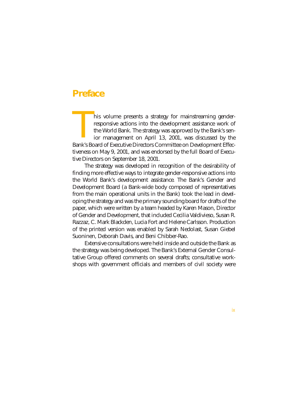## **Preface**

his volume presents a strategy for mainstreaming genderresponsive actions into the development assistance work of the World Bank. The strategy was approved by the Bank's senior management on April 13, 2001, was discussed by the This volume presents a strategy for mainstreaming gender-<br>responsive actions into the development assistance work of<br>the World Bank. The strategy was approved by the Bank's sen-<br>ior management on April 13, 2001, was discus tiveness on May 9, 2001, and was endorsed by the full Board of Executive Directors on September 18, 2001.

The strategy was developed in recognition of the desirability of finding more effective ways to integrate gender-responsive actions into the World Bank's development assistance. The Bank's Gender and Development Board (a Bank-wide body composed of representatives from the main operational units in the Bank) took the lead in developing the strategy and was the primary sounding board for drafts of the paper, which were written by a team headed by Karen Mason, Director of Gender and Development, that included Cecilia Valdivieso, Susan R. Razzaz, C. Mark Blackden, Lucia Fort and Helene Carlsson. Production of the printed version was enabled by Sarah Nedolast, Susan Giebel Suoninen, Deborah Davis, and Beni Chibber-Rao.

Extensive consultations were held inside and outside the Bank as the strategy was being developed. The Bank's External Gender Consultative Group offered comments on several drafts; consultative workshops with government officials and members of civil society were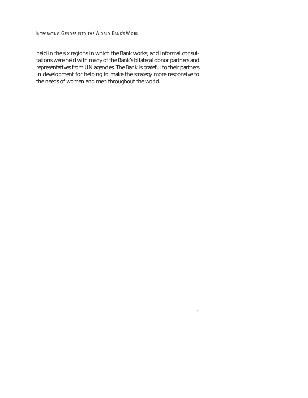held in the six regions in which the Bank works; and informal consultations were held with many of the Bank's bilateral donor partners and representatives from UN agencies. The Bank is grateful to their partners in development for helping to make the strategy more responsive to the needs of women and men throughout the world.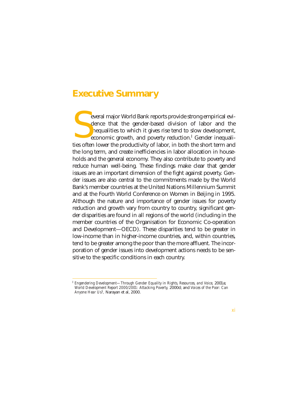## **Executive Summary**

everal major World Bank reports provide strong empirical evidence that the gender-based division of labor and the inequalities to which it gives rise tend to slow development, economic growth, and poverty reduction.<sup>I</sup> Gender inequalieveral major World Bank reports provide strong empirical evidence that the gender-based division of labor and the inequalities to which it gives rise tend to slow development, economic growth, and poverty reduction.<sup>I</sup> Gen the long term, and create inefficiencies in labor allocation in households and the general economy. They also contribute to poverty and reduce human well-being. These findings make clear that gender issues are an important dimension of the fight against poverty. Gender issues are also central to the commitments made by the World Bank's member countries at the United Nations Millennium Summit and at the Fourth World Conference on Women in Beijing in 1995. Although the nature and importance of gender issues for poverty reduction and growth vary from country to country, significant gender disparities are found in all regions of the world (including in the member countries of the Organisation for Economic Co-operation and Development—OECD). These disparities tend to be greater in low-income than in higher-income countries, and, within countries, tend to be greater among the poor than the more affluent. The incorporation of gender issues into development actions needs to be sensitive to the specific conditions in each country.

<sup>&</sup>lt;sup>I</sup> Engendering Development—Through Gender Equality in Rights, Resources, and Voice, 2001a; *World Development Report 2000/2001: Attacking Poverty,* 2000d; and *Voices of the Poor: Can Anyone Hear Us?,* Narayan et al, 2000.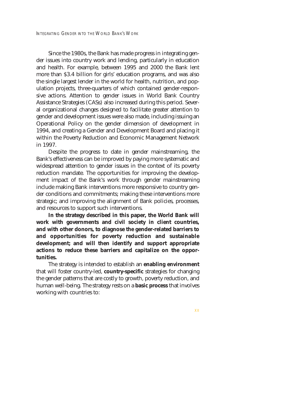Since the 1980s, the Bank has made progress in integrating gender issues into country work and lending, particularly in education and health. For example, between 1995 and 2000 the Bank lent more than \$3.4 billion for girls' education programs, and was also the single largest lender in the world for health, nutrition, and population projects, three-quarters of which contained gender-responsive actions. Attention to gender issues in World Bank Country Assistance Strategies (CASs) also increased during this period. Several organizational changes designed to facilitate greater attention to gender and development issues were also made, including issuing an Operational Policy on the gender dimension of development in 1994, and creating a Gender and Development Board and placing it within the Poverty Reduction and Economic Management Network in 1997.

Despite the progress to date in gender mainstreaming, the Bank's effectiveness can be improved by paying more systematic and widespread attention to gender issues in the context of its poverty reduction mandate. The opportunities for improving the development impact of the Bank's work through gender mainstreaming include making Bank interventions more responsive to country gender conditions and commitments; making these interventions more strategic; and improving the alignment of Bank policies, processes, and resources to support such interventions.

**In the strategy described in this paper, the World Bank will work with governments and civil society in client countries, and with other donors, to diagnose the gender-related barriers to and opportunities for poverty reduction and sustainable development; and will then identify and support appropriate actions to reduce these barriers and capitalize on the opportunities.** 

The strategy is intended to establish an **enabling environment** that will foster country-led, **country-specific** strategies for changing the gender patterns that are costly to growth, poverty reduction, and human well-being. The strategy rests on a **basic process** that involves working with countries to: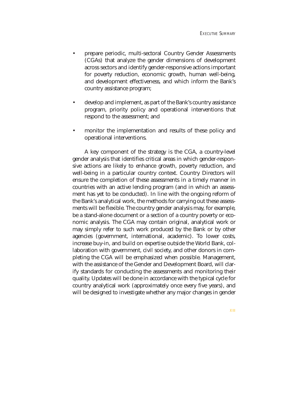- prepare periodic, multi-sectoral Country Gender Assessments (CGAs) that analyze the gender dimensions of development across sectors and identify gender-responsive actions important for poverty reduction, economic growth, human well-being, and development effectiveness, and which inform the Bank's country assistance program;
- develop and implement, as part of the Bank's country assistance program, priority policy and operational interventions that respond to the assessment; and
- monitor the implementation and results of these policy and operational interventions.

A key component of the strategy is the CGA, a country-level gender analysis that identifies critical areas in which gender-responsive actions are likely to enhance growth, poverty reduction, and well-being in a particular country context. Country Directors will ensure the completion of these assessments in a timely manner in countries with an active lending program (and in which an assessment has yet to be conducted). In line with the ongoing reform of the Bank's analytical work, the methods for carrying out these assessments will be flexible. The country gender analysis may, for example, be a stand-alone document or a section of a country poverty or economic analysis. The CGA may contain original, analytical work or may simply refer to such work produced by the Bank or by other agencies (government, international, academic). To lower costs, increase buy-in, and build on expertise outside the World Bank, collaboration with government, civil society, and other donors in completing the CGA will be emphasized when possible. Management, with the assistance of the Gender and Development Board, will clarify standards for conducting the assessments and monitoring their quality. Updates will be done in accordance with the typical cycle for country analytical work (approximately once every five years), and will be designed to investigate whether any major changes in gender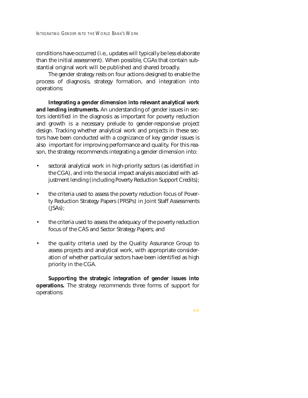conditions have occurred (i.e., updates will typically be less elaborate than the initial assessment). When possible, CGAs that contain substantial original work will be published and shared broadly.

The gender strategy rests on four actions designed to enable the process of diagnosis, strategy formation, and integration into operations:

**Integrating a gender dimension into relevant analytical work and lending instruments.** An understanding of gender issues in sectors identified in the diagnosis as important for poverty reduction and growth is a necessary prelude to gender-responsive project design. Tracking whether analytical work and projects in these sectors have been conducted with a cognizance of key gender issues is also important for improving performance and quality. For this reason, the strategy recommends integrating a gender dimension into:

- sectoral analytical work in high-priority sectors (as identified in the CGA), and into the social impact analysis associated with adjustment lending (including Poverty Reduction Support Credits);
- the criteria used to assess the poverty reduction focus of Poverty Reduction Strategy Papers (PRSPs) in Joint Staff Assessments (JSAs);
- the criteria used to assess the adequacy of the poverty reduction focus of the CAS and Sector Strategy Papers; and
- the quality criteria used by the Quality Assurance Group to assess projects and analytical work, with appropriate consideration of whether particular sectors have been identified as high priority in the CGA.

**Supporting the strategic integration of gender issues into operations.** The strategy recommends three forms of support for operations: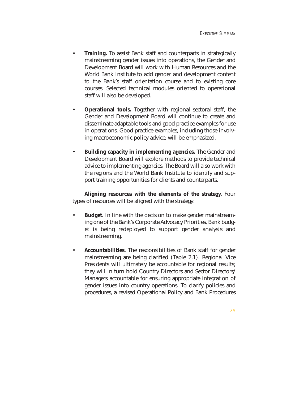- **Training.** To assist Bank staff and counterparts in strategically mainstreaming gender issues into operations, the Gender and Development Board will work with Human Resources and the World Bank Institute to add gender and development content to the Bank's staff orientation course and to existing core courses. Selected technical modules oriented to operational staff will also be developed.
- **Operational tools.** Together with regional sectoral staff, the Gender and Development Board will continue to create and disseminate adaptable tools and good practice examples for use in operations. Good practice examples, including those involving macroeconomic policy advice, will be emphasized.
- **Building capacity in implementing agencies.** The Gender and Development Board will explore methods to provide technical advice to implementing agencies. The Board will also work with the regions and the World Bank Institute to identify and support training opportunities for clients and counterparts.

**Aligning resources with the elements of the strategy.** Four types of resources will be aligned with the strategy:

- **Budget.** In line with the decision to make gender mainstreaming one of the Bank's Corporate Advocacy Priorities, Bank budget is being redeployed to support gender analysis and mainstreaming.
- **Accountabilities.** The responsibilities of Bank staff for gender mainstreaming are being clarified (Table 2.1). Regional Vice Presidents will ultimately be accountable for regional results; they will in turn hold Country Directors and Sector Directors/ Managers accountable for ensuring appropriate integration of gender issues into country operations. To clarify policies and procedures, a revised Operational Policy and Bank Procedures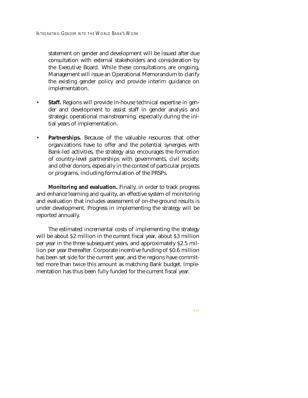statement on gender and development will be issued after due consultation with external stakeholders and consideration by the Executive Board. While these consultations are ongoing, Management will issue an Operational Memorandum to clarify the existing gender policy and provide interim guidance on implementation.

- **Staff.** Regions will provide in-house technical expertise in gender and development to assist staff in gender analysis and strategic operational mainstreaming, especially during the initial years of implementation.
- **Partnerships.** Because of the valuable resources that other organizations have to offer and the potential synergies with Bank-led activities, the strategy also encourages the formation of country-level partnerships with governments, civil society, and other donors, especially in the context of particular projects or programs, including formulation of the PRSPs.

**Monitoring and evaluation.** Finally, in order to track progress and enhance learning and quality, an effective system of monitoring and evaluation that includes assessment of on-the-ground results is under development. Progress in implementing the strategy will be reported annually.

The estimated incremental costs of implementing the strategy will be about \$2 million in the current fiscal year, about \$3 million per year in the three subsequent years, and approximately \$2.5 million per year thereafter. Corporate incentive funding of \$0.6 million has been set side for the current year, and the regions have committed more than twice this amount as matching Bank budget. Implementation has thus been fully funded for the current fiscal year.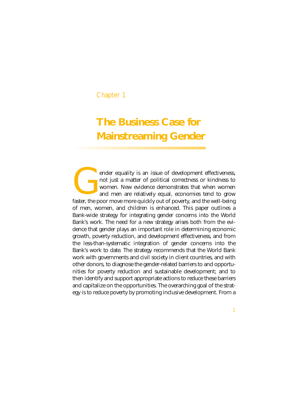### Chapter 1

# **The Business Case for Mainstreaming Gender**

ender equality is an issue of development effectiveness, not just a matter of political correctness or kindness to women. New evidence demonstrates that when women and men are relatively equal, economies tend to grow ender equality is an issue of development effectiveness, not just a matter of political correctness or kindness to women. New evidence demonstrates that when women and men are relatively equal, economies tend to grow faste of men, women, and children is enhanced. This paper outlines a Bank-wide strategy for integrating gender concerns into the World Bank's work. The need for a new strategy arises both from the evidence that gender plays an important role in determining economic growth, poverty reduction, and development effectiveness, and from the less-than-systematic integration of gender concerns into the Bank's work to date. The strategy recommends that the World Bank work with governments and civil society in client countries, and with other donors, to diagnose the gender-related barriers to and opportunities for poverty reduction and sustainable development; and to then identify and support appropriate actions to reduce these barriers and capitalize on the opportunities. The overarching goal of the strategy is to reduce poverty by promoting inclusive development. From a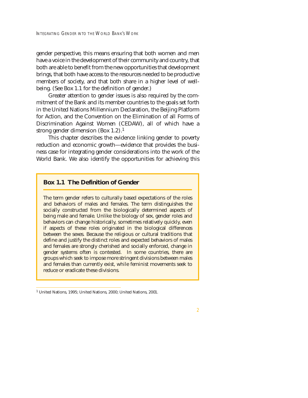gender perspective, this means ensuring that both women and men have a voice in the development of their community and country, that both are able to benefit from the new opportunities that development brings, that both have access to the resources needed to be productive members of society, and that both share in a higher level of wellbeing. (See Box 1.1 for the definition of gender.)

Greater attention to gender issues is also required by the commitment of the Bank and its member countries to the goals set forth in the United Nations Millennium Declaration, the Beijing Platform for Action, and the Convention on the Elimination of all Forms of Discrimination Against Women (CEDAW), all of which have a strong gender dimension (Box 1.2).<sup>1</sup>

This chapter describes the evidence linking gender to poverty reduction and economic growth—evidence that provides the business case for integrating gender considerations into the work of the World Bank. We also identify the opportunities for achieving this

#### **Box 1.1 The Definition of Gender**

The term gender refers to culturally based expectations of the roles and behaviors of males and females. The term distinguishes the socially constructed from the biologically determined aspects of being male and female. Unlike the biology of sex, gender roles and behaviors can change historically, sometimes relatively quickly, even if aspects of these roles originated in the biological differences between the sexes. Because the religious or cultural traditions that define and justify the distinct roles and expected behaviors of males and females are strongly cherished and socially enforced, change in gender systems often is contested. In some countries, there are groups which seek to impose more stringent divisions between males and females than currently exist, while feminist movements seek to reduce or eradicate these divisions.

<sup>1</sup> United Nations, 1995; United Nations, 2000; United Nations, 2001.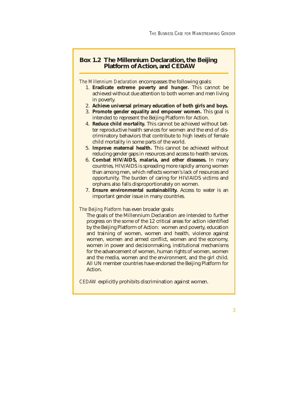#### **Box 1.2 The Millennium Declaration, the Beijing Platform of Action, and CEDAW**

*The Millennium Declaration* encompasses the following goals:

- 1. **Eradicate extreme poverty and hunger.** This cannot be achieved without due attention to both women and men living in poverty.
- 2. **Achieve universal primary education of both girls and boys.**
- 3. **Promote gender equality and empower women.** This goal is intended to represent the Beijing Platform for Action.
- 4. **Reduce child mortality.** This cannot be achieved without better reproductive health services for women and the end of discriminatory behaviors that contribute to high levels of female child mortality in some parts of the world.
- 5. **Improve maternal health.** This cannot be achieved without reducing gender gaps in resources and access to health services.
- 6. **Combat HIV/AIDS, malaria, and other diseases.** In many countries, HIV/AIDS is spreading more rapidly among women than among men, which reflects women's lack of resources and opportunity. The burden of caring for HIV/AIDS victims and orphans also falls disproportionately on women.
- 7. **Ensure environmental sustainability.** Access to water is an important gender issue in many countries.

#### *The Beijing Platform* has even broader goals:

The goals of the Millennium Declaration are intended to further progress on the some of the 12 critical areas for action identified by the Beijing Platform of Action: women and poverty, education and training of women, women and health, violence against women, women and armed conflict, women and the economy, women in power and decisionmaking, institutional mechanisms for the advancement of women, human rights of women, women and the media, women and the environment, and the girl child. All UN member countries have endorsed the Beijing Platform for Action.

*CEDAW* explicitly prohibits discrimination against women.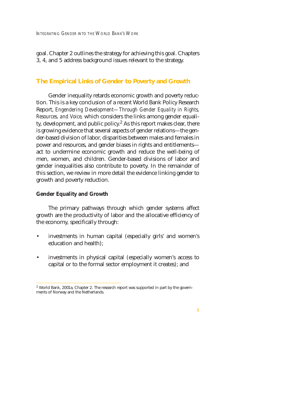goal. Chapter 2 outlines the strategy for achieving this goal. Chapters 3, 4, and 5 address background issues relevant to the strategy.

#### **The Empirical Links of Gender to Poverty and Growth**

Gender inequality retards economic growth and poverty reduction. This is a key conclusion of a recent World Bank Policy Research Report, *Engendering Development—Through Gender Equality in Rights, Resources, and Voice,* which considers the links among gender equality, development, and public policy.<sup>2</sup> As this report makes clear, there is growing evidence that several aspects of gender relations—the gender-based division of labor, disparities between males and females in power and resources, and gender biases in rights and entitlements act to undermine economic growth and reduce the well-being of men, women, and children. Gender-based divisions of labor and gender inequalities also contribute to poverty. In the remainder of this section, we review in more detail the evidence linking gender to growth and poverty reduction.

#### **Gender Equality and Growth**

The primary pathways through which gender systems affect growth are the productivity of labor and the allocative efficiency of the economy, specifically through:

- investments in human capital (especially girls' and women's education and health);
- investments in physical capital (especially women's access to capital or to the formal sector employment it creates); and

<sup>2</sup> World Bank, 2001a, Chapter 2. The research report was supported in part by the governments of Norway and the Netherlands.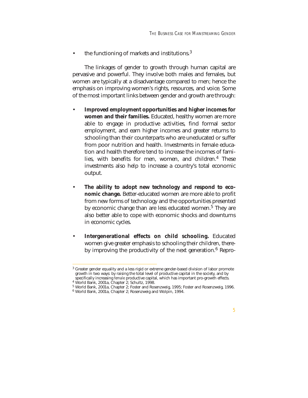the functioning of markets and institutions.<sup>3</sup>

The linkages of gender to growth through human capital are pervasive and powerful. They involve both males and females, but women are typically at a disadvantage compared to men; hence the emphasis on improving women's rights, resources, and voice. Some of the most important links between gender and growth are through:

- **Improved employment opportunities and higher incomes for women and their families.** Educated, healthy women are more able to engage in productive activities, find formal sector employment, and earn higher incomes and greater returns to schooling than their counterparts who are uneducated or suffer from poor nutrition and health. Investments in female education and health therefore tend to increase the incomes of families, with benefits for men, women, and children.4 These investments also help to increase a country's total economic output.
- The ability to adopt new technology and respond to eco**nomic change.** Better-educated women are more able to profit from new forms of technology and the opportunities presented by economic change than are less educated women.<sup>5</sup> They are also better able to cope with economic shocks and downturns in economic cycles.
- **Intergenerational effects on child schooling.** Educated women give greater emphasis to schooling their children, thereby improving the productivity of the next generation. $6$  Repro-

 $3$  Greater gender equality and a less rigid or extreme gender-based division of labor promote growth in two ways: by raising the total level of productive capital in the society, and by specifically increasing *female* productive capital, which has important pro-growth effects. 4 World Bank, 2001a, Chapter 2; Schultz, 1998.

<sup>5</sup> World Bank, 2001a, Chapter 2; Foster and Rosenzweig, 1995; Foster and Rosenzweig, 1996.

<sup>6</sup> World Bank, 2001a, Chapter 2; Rosenzweig and Wolpin, 1994.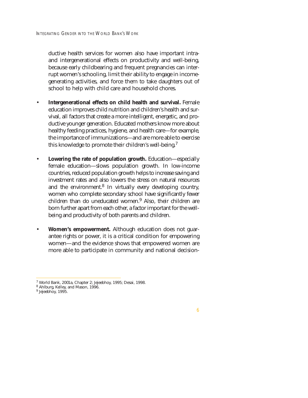ductive health services for women also have important intraand intergenerational effects on productivity and well-being, because early childbearing and frequent pregnancies can interrupt women's schooling, limit their ability to engage in incomegenerating activities, and force them to take daughters out of school to help with child care and household chores.

- **Intergenerational effects on child health and survival.** Female education improves child nutrition and children's health and survival, all factors that create a more intelligent, energetic, and productive younger generation. Educated mothers know more about healthy feeding practices, hygiene, and health care—for example, the importance of immunizations—and are more able to exercise this knowledge to promote their children's well-being.7
- **Lowering the rate of population growth.** Education—especially female education—slows population growth. In low-income countries, reduced population growth helps to increase saving and investment rates and also lowers the stress on natural resources and the environment.<sup>8</sup> In virtually every developing country, women who complete secondary school have significantly fewer children than do uneducated women.9 Also, their children are born further apart from each other, a factor important for the wellbeing and productivity of both parents and children.
- **Women's empowerment.** Although education does not guarantee rights or power, it is a critical condition for empowering women—and the evidence shows that empowered women are more able to participate in community and national decision-

<sup>7</sup> World Bank, 2001a, Chapter 2; Jejeebhoy, 1995; Desai, 1998.

<sup>8</sup> Ahlburg, Kelley, and Mason, 1996.

<sup>&</sup>lt;sup>9</sup> Jejeebhoy, 1995.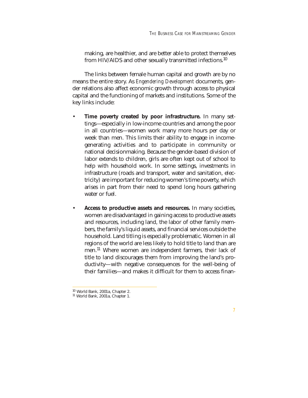making, are healthier, and are better able to protect themselves from HIV/AIDS and other sexually transmitted infections.10

The links between female human capital and growth are by no means the entire story. As *Engendering Development* documents, gender relations also affect economic growth through access to physical capital and the functioning of markets and institutions. Some of the key links include:

- **Time poverty created by poor infrastructure.** In many settings—especially in low-income countries and among the poor in all countries—women work many more hours per day or week than men. This limits their ability to engage in incomegenerating activities and to participate in community or national decisionmaking. Because the gender-based division of labor extends to children, girls are often kept out of school to help with household work. In some settings, investments in infrastructure (roads and transport, water and sanitation, electricity) are important for reducing women's time poverty, which arises in part from their need to spend long hours gathering water or fuel.
- **Access to productive assets and resources.** In many societies, women are disadvantaged in gaining access to productive assets and resources, including land, the labor of other family members, the family's liquid assets, and financial services outside the household. Land titling is especially problematic. Women in all regions of the world are less likely to hold title to land than are men.<sup>11</sup> Where women are independent farmers, their lack of title to land discourages them from improving the land's productivity—with negative consequences for the well-being of their families—and makes it difficult for them to access finan-

<sup>10</sup> World Bank, 2001a, Chapter 2. <sup>11</sup> World Bank, 2001a, Chapter 1.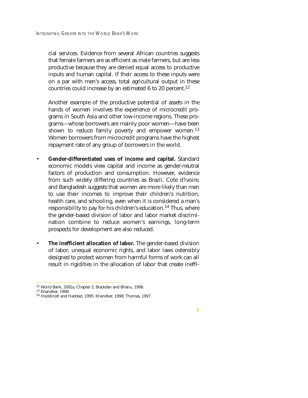cial services. Evidence from several African countries suggests that female farmers are as efficient as male farmers, but are less productive because they are denied equal access to productive inputs and human capital. If their access to these inputs were on a par with men's access, total agricultural output in these countries could increase by an estimated 6 to 20 percent.<sup>12</sup>

Another example of the productive potential of assets in the hands of women involves the experience of microcredit programs in South Asia and other low-income regions. These programs—whose borrowers are mainly poor women—have been shown to reduce family poverty and empower women.<sup>13</sup> Women borrowers from microcredit programs have the highest repayment rate of any group of borrowers in the world.

- **Gender-differentiated uses of income and capital.** Standard economic models view capital and income as gender-neutral factors of production and consumption. However, evidence from such widely differing countries as Brazil, Cote d'Ivoire, and Bangladesh suggests that women are more likely than men to use their incomes to improve their children's nutrition, health care, and schooling, even when it is considered a man's responsibility to pay for his children's education.<sup>14</sup> Thus, where the gender-based division of labor and labor market discrimination combine to reduce women's earnings, long-term prospects for development are also reduced.
- **The inefficient allocation of labor.** The gender-based division of labor, unequal economic rights, and labor laws ostensibly designed to protect women from harmful forms of work can all result in rigidities in the allocation of labor that create ineffi-

<sup>&</sup>lt;sup>12</sup> World Bank, 2001a, Chapter 2; Blackden and Bhanu, 1998.<br><sup>13</sup> Khandker, 1998.<br><sup>14</sup> Hoddinott and Haddad, 1995; Khandker, 1998; Thomas, 1997.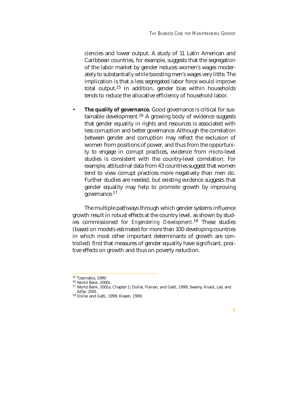ciencies and lower output. A study of 11 Latin American and Caribbean countries, for example, suggests that the segregation of the labor market by gender reduces women's wages moderately to substantially while boosting men's wages very little. The implication is that a less segregated labor force would improve total output.<sup>15</sup> In addition, gender bias within households tends to reduce the allocative efficiency of household labor.

The quality of governance. Good governance is critical for sustainable development.16 A growing body of evidence suggests that gender equality in rights and resources is associated with less corruption and better governance. Although the correlation between gender and corruption may reflect the exclusion of women from positions of power, and thus from the opportunity to engage in corrupt practices, evidence from micro-level studies is consistent with the country-level correlation. For example, attitudinal data from 43 countries suggest that women tend to view corrupt practices more negatively than men do. Further studies are needed, but existing evidence suggests that gender equality may help to promote growth by improving governance.<sup>17</sup>

The multiple pathways through which gender systems influence growth result in robust effects at the country level, as shown by studies commissioned for *Engendering Development.*<sup>18</sup> These studies (based on models estimated for more than 100 developing countries in which most other important determinants of growth are controlled) find that measures of gender equality have significant, positive effects on growth and thus on poverty reduction.

<sup>&</sup>lt;sup>15</sup> Tzannatos, 1999.<br><sup>16</sup> World Bank, 2000c.<br><sup>17</sup> World Bank, 2001a, Chapter 2; Dollar, Fisman, and Gatti, 1999; Swamy, Knack, Lee, and<br>Azfar. 2001.

<sup>&</sup>lt;sup>18</sup> Dollar and Gatti, 1999; Klasen, 1999.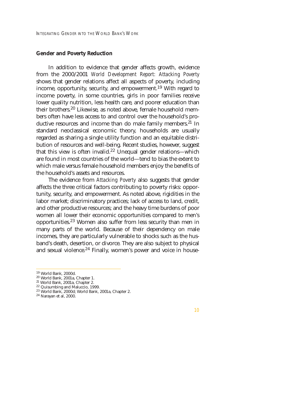#### **Gender and Poverty Reduction**

In addition to evidence that gender affects growth, evidence from the 2000/2001 *World Development Report: Attacking Poverty* shows that gender relations affect all aspects of poverty, including income, opportunity, security, and empowerment.<sup>19</sup> With regard to income poverty, in some countries, girls in poor families receive lower quality nutrition, less health care, and poorer education than their brothers.20 Likewise, as noted above, female household members often have less access to and control over the household's productive resources and income than do male family members.<sup>21</sup> In standard neoclassical economic theory, households are usually regarded as sharing a single utility function and an equitable distribution of resources and well-being. Recent studies, however, suggest that this view is often invalid.<sup>22</sup> Unequal gender relations—which are found in most countries of the world—tend to bias the extent to which male versus female household members enjoy the benefits of the household's assets and resources.

The evidence from *Attacking Poverty* also suggests that gender affects the three critical factors contributing to poverty risks: opportunity, security, and empowerment. As noted above, rigidities in the labor market; discriminatory practices; lack of access to land, credit, and other productive resources; and the heavy time burdens of poor women all lower their economic opportunities compared to men's opportunities.23 Women also suffer from less security than men in many parts of the world. Because of their dependency on male incomes, they are particularly vulnerable to shocks such as the husband's death, desertion, or divorce. They are also subject to physical and sexual violence.<sup>24</sup> Finally, women's power and voice in house-

<sup>&</sup>lt;sup>19</sup> World Bank, 2000d.<br>
<sup>20</sup> World Bank, 2001a, Chapter 1.<br>
<sup>21</sup> World Bank, 2001a, Chapter 2.<br>
<sup>22</sup> Quisumbing and Maluccio, 1999.<br>
<sup>23</sup> World Bank, 2000d; World Bank, 2001a, Chapter 2.<br>
<sup>24</sup> Narayan et al, 2000.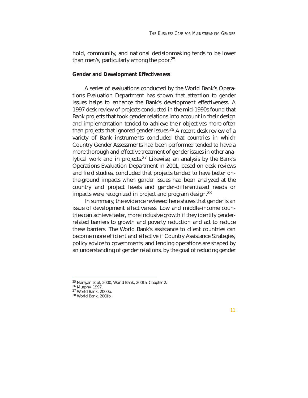hold, community, and national decisionmaking tends to be lower than men's, particularly among the poor. $25$ 

#### **Gender and Development Effectiveness**

A series of evaluations conducted by the World Bank's Operations Evaluation Department has shown that attention to gender issues helps to enhance the Bank's development effectiveness. A 1997 desk review of projects conducted in the mid-1990s found that Bank projects that took gender relations into account in their design and implementation tended to achieve their objectives more often than projects that ignored gender issues.<sup>26</sup> A recent desk review of a variety of Bank instruments concluded that countries in which Country Gender Assessments had been performed tended to have a more thorough and effective treatment of gender issues in other analytical work and in projects.27 Likewise, an analysis by the Bank's Operations Evaluation Department in 2001, based on desk reviews and field studies, concluded that projects tended to have better onthe-ground impacts when gender issues had been analyzed at the country and project levels and gender-differentiated needs or impacts were recognized in project and program design.<sup>28</sup>

In summary, the evidence reviewed here shows that gender is an issue of development effectiveness. Low and middle-income countries can achieve faster, more inclusive growth if they identify genderrelated barriers to growth and poverty reduction and act to reduce these barriers. The World Bank's assistance to client countries can become more efficient and effective if Country Assistance Strategies, policy advice to governments, and lending operations are shaped by an understanding of gender relations, by the goal of reducing gender

<sup>&</sup>lt;sup>25</sup> Narayan et al, 2000; World Bank, 2001a, Chapter 2.<br><sup>26</sup> Murphy, 1997.<br><sup>27</sup> World Bank, 2000b.<br><sup>28</sup> World Bank, 2001b.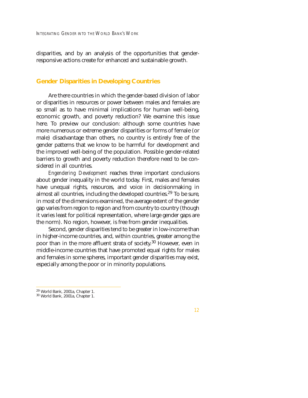disparities, and by an analysis of the opportunities that genderresponsive actions create for enhanced and sustainable growth.

#### **Gender Disparities in Developing Countries**

Are there countries in which the gender-based division of labor or disparities in resources or power between males and females are so small as to have minimal implications for human well-being, economic growth, and poverty reduction? We examine this issue here. To preview our conclusion: although some countries have more numerous or extreme gender disparities or forms of female (or male) disadvantage than others, no country is entirely free of the gender patterns that we know to be harmful for development and the improved well-being of the population. Possible gender-related barriers to growth and poverty reduction therefore need to be considered in all countries.

*Engendering Development* reaches three important conclusions about gender inequality in the world today. First, males and females have unequal rights, resources, and voice in decisionmaking in almost all countries, including the developed countries.<sup>29</sup> To be sure, in most of the dimensions examined, the average extent of the gender gap varies from region to region and from country to country (though it varies least for political representation, where large gender gaps are the norm). No region, however, is free from gender inequalities.

Second, gender disparities tend to be greater in low-income than in higher-income countries, and, within countries, greater among the poor than in the more affluent strata of society.30 However, even in middle-income countries that have promoted equal rights for males and females in some spheres, important gender disparities may exist, especially among the poor or in minority populations.

 $29$  World Bank, 2001a, Chapter 1.<br> $30$  World Bank, 2001a, Chapter 1.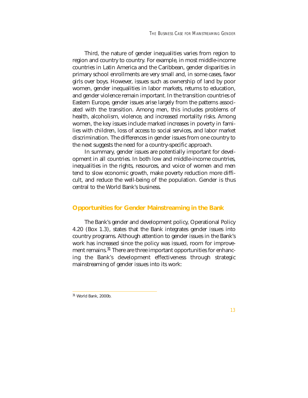Third, the nature of gender inequalities varies from region to region and country to country. For example, in most middle-income countries in Latin America and the Caribbean, gender disparities in primary school enrollments are very small and, in some cases, favor girls over boys. However, issues such as ownership of land by poor women, gender inequalities in labor markets, returns to education, and gender violence remain important. In the transition countries of Eastern Europe, gender issues arise largely from the patterns associated with the transition. Among men, this includes problems of health, alcoholism, violence, and increased mortality risks. Among women, the key issues include marked increases in poverty in families with children, loss of access to social services, and labor market discrimination. The differences in gender issues from one country to the next suggests the need for a country-specific approach.

In summary, gender issues are potentially important for development in all countries. In both low and middle-income countries, inequalities in the rights, resources, and voice of women and men tend to slow economic growth, make poverty reduction more difficult, and reduce the well-being of the population. Gender is thus central to the World Bank's business.

### **Opportunities for Gender Mainstreaming in the Bank**

The Bank's gender and development policy, Operational Policy 4.20 (Box 1.3), states that the Bank integrates gender issues into country programs. Although attention to gender issues in the Bank's work has increased since the policy was issued, room for improvement remains.<sup>31</sup> There are three important opportunities for enhancing the Bank's development effectiveness through strategic mainstreaming of gender issues into its work:

<sup>31</sup> World Bank, 2000b.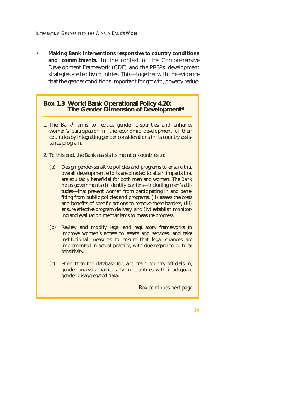• **Making Bank interventions responsive to country conditions and commitments.** In the context of the Comprehensive Development Framework (CDF) and the PRSPs, development strategies are led by countries. This—together with the evidence that the gender conditions important for growth, poverty reduc-

#### **Box 1.3 World Bank Operational Policy 4.20: The Gender Dimension of Development<sup>a</sup>**

- 1. The Bank<sup>b</sup> aims to reduce gender disparities and enhance women's participation in the economic development of their countries by integrating gender considerations in its country assistance program.
- 2. To this end, the Bank assists its member countries to:
	- (a) Design gender-sensitive policies and programs to ensure that overall development efforts are directed to attain impacts that are equitably beneficial for both men and women. The Bank helps governments (i) identify barriers—including men's attitudes—that prevent women from participating in and benefiting from public policies and programs, (ii) assess the costs and benefits of specific actions to remove these barriers, (iii) ensure effective program delivery, and (iv) establish monitoring and evaluation mechanisms to measure progress.
	- (b) Review and modify legal and regulatory frameworks to improve women's access to assets and services, and take institutional measures to ensure that legal changes are implemented in actual practice, with due regard to cultural sensitivity.
	- (c) Strengthen the database for, and train country officials in, gender analysis, particularly in countries with inadequate gender-disaggregated data.

*Box continues next page*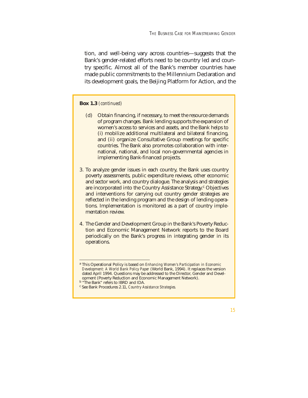tion, and well-being vary across countries—suggests that the Bank's gender-related efforts need to be country led and country specific. Almost all of the Bank's member countries have made public commitments to the Millennium Declaration and its development goals, the Beijing Platform for Action, and the

#### **Box 1.3** *(continued)*

- (d) Obtain financing, if necessary, to meet the resource demands of program changes. Bank lending supports the expansion of women's access to services and assets, and the Bank helps to (i) mobilize additional multilateral and bilateral financing, and (ii) organize Consultative Group meetings for specific countries. The Bank also promotes collaboration with international, national, and local non-governmental agencies in implementing Bank-financed projects.
- 3. To analyze gender issues in each country, the Bank uses country poverty assessments, public expenditure reviews, other economic and sector work, and country dialogue. The analysis and strategies are incorporated into the Country Assistance Strategy.<sup>c</sup> Objectives and interventions for carrying out country gender strategies are reflected in the lending program and the design of lending operations. Implementation is monitored as a part of country implementation review.
- 4. The Gender and Development Group in the Bank's Poverty Reduction and Economic Management Network reports to the Board periodically on the Bank's progress in integrating gender in its operations.

<sup>a</sup> This Operational Policy is based on *Enhancing Women's Participation in Economic Development: A World Bank Policy Paper* (World Bank, 1994). It replaces the version dated April 1994. Questions may be addressed to the Director, Gender and Development (Poverty Reduction and Economic Management Network).

**b** "The Bank" refers to IBRD and IDA.

<sup>c</sup> See Bank Procedures 2.11, *Country Assistance Strategies.*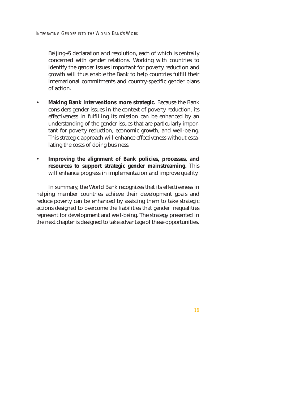Beijing+5 declaration and resolution, each of which is centrally concerned with gender relations. Working with countries to identify the gender issues important for poverty reduction and growth will thus enable the Bank to help countries fulfill their international commitments and country-specific gender plans of action.

- **Making Bank interventions more strategic.** Because the Bank considers gender issues in the context of poverty reduction, its effectiveness in fulfilling its mission can be enhanced by an understanding of the gender issues that are particularly important for poverty reduction, economic growth, and well-being. This strategic approach will enhance effectiveness without escalating the costs of doing business.
- **Improving the alignment of Bank policies, processes, and resources to support strategic gender mainstreaming.** This will enhance progress in implementation and improve quality.

In summary, the World Bank recognizes that its effectiveness in helping member countries achieve their development goals and reduce poverty can be enhanced by assisting them to take strategic actions designed to overcome the liabilities that gender inequalities represent for development and well-being. The strategy presented in the next chapter is designed to take advantage of these opportunities.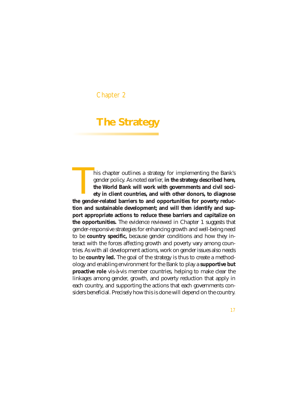### Chapter 2

# **The Strategy**

his chapter outlines a strategy for implementing the Bank's gender policy. As noted earlier, **in the strategy described here, the World Bank will work with governments and civil society in client countries, and with other donors, to diagnose the gender policy.** As noted earlier, in the strategy described here, the World Bank will work with governments and civil society in client countries, and with other donors, to diagnose the gender-related barriers to and **tion and sustainable development; and will then identify and support appropriate actions to reduce these barriers and capitalize on the opportunities.** The evidence reviewed in Chapter 1 suggests that gender-responsive strategies for enhancing growth and well-being need to be **country specific,** because gender conditions and how they interact with the forces affecting growth and poverty vary among countries. As with all development actions, work on gender issues also needs to be **country led.** The goal of the strategy is thus to create a methodology and enabling environment for the Bank to play a **supportive but proactive role** vis-à-vis member countries, helping to make clear the linkages among gender, growth, and poverty reduction that apply in each country, and supporting the actions that each governments considers beneficial. Precisely how this is done will depend on the country.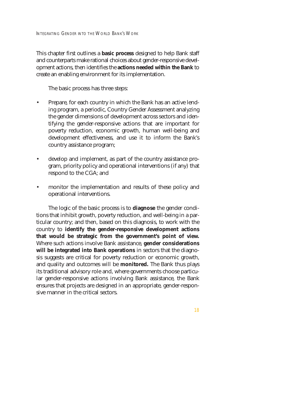This chapter first outlines a **basic process** designed to help Bank staff and counterparts make rational choices about gender-responsive development actions, then identifies the **actions needed within the Bank** to create an enabling environment for its implementation.

The basic process has three steps:

- Prepare, for each country in which the Bank has an active lending program, a periodic, Country Gender Assessment analyzing the gender dimensions of development across sectors and identifying the gender-responsive actions that are important for poverty reduction, economic growth, human well-being and development effectiveness, and use it to inform the Bank's country assistance program;
- develop and implement, as part of the country assistance program, priority policy and operational interventions (if any) that respond to the CGA; and
- monitor the implementation and results of these policy and operational interventions.

The logic of the basic process is to **diagnose** the gender conditions that inhibit growth, poverty reduction, and well-being in a particular country; and then, based on this diagnosis, to work with the country to **identify the gender-responsive development actions that would be strategic from the government's point of view.** Where such actions involve Bank assistance, **gender considerations will be integrated into Bank operations** in sectors that the diagnosis suggests are critical for poverty reduction or economic growth, and quality and outcomes will be **monitored.** The Bank thus plays its traditional advisory role and, where governments choose particular gender-responsive actions involving Bank assistance, the Bank ensures that projects are designed in an appropriate, gender-responsive manner in the critical sectors.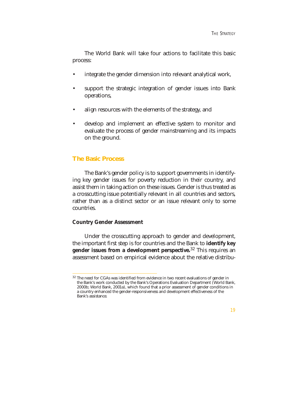The World Bank will take four actions to facilitate this basic process:

- integrate the gender dimension into relevant analytical work,
- support the strategic integration of gender issues into Bank operations,
- align resources with the elements of the strategy, and
- develop and implement an effective system to monitor and evaluate the process of gender mainstreaming and its impacts on the ground.

#### **The Basic Process**

The Bank's gender policy is to support governments in identifying key gender issues for poverty reduction in their country, and assist them in taking action on these issues. Gender is thus treated as a crosscutting issue potentially relevant in all countries and sectors, rather than as a distinct sector or an issue relevant only to some countries.

#### **Country Gender Assessment**

Under the crosscutting approach to gender and development, the important first step is for countries and the Bank to **identify key gender issues from a development perspective.**<sup>32</sup> This requires an assessment based on empirical evidence about the relative distribu-

 $32$  The need for CGAs was identified from evidence in two recent evaluations of gender in the Bank's work conducted by the Bank's Operations Evaluation Department (World Bank, 2000b; World Bank, 2001a), which found that a prior assessment of gender conditions in a country enhanced the gender-responsiveness and development effectiveness of the Bank's assistance.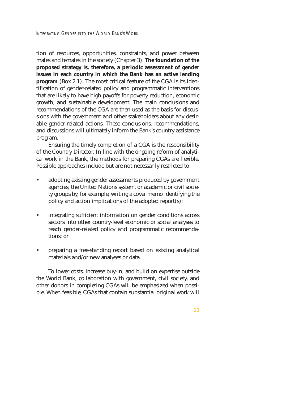tion of resources, opportunities, constraints, and power between males and females in the society (Chapter 3). **The foundation of the proposed strategy is, therefore, a periodic assessment of gender issues in each country in which the Bank has an active lending program** (Box 2.1). The most critical feature of the CGA is its identification of gender-related policy and programmatic interventions that are likely to have high payoffs for poverty reduction, economic growth, and sustainable development. The main conclusions and recommendations of the CGA are then used as the basis for discussions with the government and other stakeholders about any desirable gender-related actions. These conclusions, recommendations, and discussions will ultimately inform the Bank's country assistance program.

Ensuring the timely completion of a CGA is the responsibility of the Country Director. In line with the ongoing reform of analytical work in the Bank, the methods for preparing CGAs are flexible. Possible approaches include but are not necessarily restricted to:

- adopting existing gender assessments produced by government agencies, the United Nations system, or academic or civil society groups by, for example, writing a cover memo identifying the policy and action implications of the adopted report(s);
- integrating sufficient information on gender conditions across sectors into other country-level economic or social analyses to reach gender-related policy and programmatic recommendations; or
- preparing a free-standing report based on existing analytical materials and/or new analyses or data.

To lower costs, increase buy-in, and build on expertise outside the World Bank, collaboration with government, civil society, and other donors in completing CGAs will be emphasized when possible. When feasible, CGAs that contain substantial original work will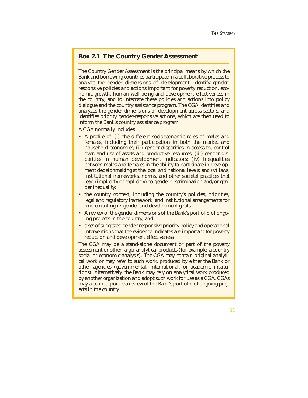# **Box 2.1 The Country Gender Assessment**

The Country Gender Assessment is the principal means by which the Bank and borrowing countries participate in a collaborative process to analyze the gender dimensions of development; identify genderresponsive policies and actions important for poverty reduction, economic growth, human well-being and development effectiveness in the country; and to integrate these policies and actions into policy dialogue and the country assistance program. The CGA identifies and analyzes the gender dimensions of development across sectors, and identifies priority gender-responsive actions, which are then used to inform the Bank's country assistance program.

A CGA normally includes:

- A profile of: (i) the different socioeconomic roles of males and females, including their participation in both the market and household economies; (ii) gender disparities in access to, control over, and use of assets and productive resources; (iii) gender disparities in human development indicators; (iv) inequalities between males and females in the ability to participate in development decisionmaking at the local and national levels; and (v) laws, institutional frameworks, norms, and other societal practices that lead (implicitly or explicitly) to gender discrimination and/or gender inequality;
- the country context, including the country's policies, priorities, legal and regulatory framework, and institutional arrangements for implementing its gender and development goals;
- A review of the gender dimensions of the Bank's portfolio of ongoing projects in the country; and
- a set of suggested gender-responsive priority policy and operational interventions that the evidence indicates are important for poverty reduction and development effectiveness.

The CGA may be a stand-alone document or part of the poverty assessment or other larger analytical products (for example, a country social or economic analysis). The CGA may contain original analytical work or may refer to such work, produced by either the Bank or other agencies (governmental, international, or academic institutions). Alternatively, the Bank may rely on analytical work produced by another organization and adopt such work for use as a CGA. CGAs may also incorporate a review of the Bank's portfolio of ongoing projects in the country.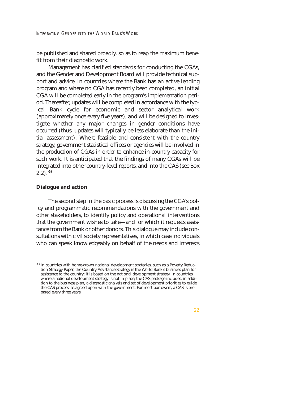be published and shared broadly, so as to reap the maximum benefit from their diagnostic work.

Management has clarified standards for conducting the CGAs, and the Gender and Development Board will provide technical support and advice. In countries where the Bank has an active lending program and where no CGA has recently been completed, an initial CGA will be completed early in the program's implementation period. Thereafter, updates will be completed in accordance with the typical Bank cycle for economic and sector analytical work (approximately once every five years), and will be designed to investigate whether any major changes in gender conditions have occurred (thus, updates will typically be less elaborate than the initial assessment). Where feasible and consistent with the country strategy, government statistical offices or agencies will be involved in the production of CGAs in order to enhance in-country capacity for such work. It is anticipated that the findings of many CGAs will be integrated into other country-level reports, and into the CAS (see Box  $2.2)$ .  $33$ 

#### **Dialogue and action**

The second step in the basic process is discussing the CGA's policy and programmatic recommendations with the government and other stakeholders, to identify policy and operational interventions that the government wishes to take—and for which it requests assistance from the Bank or other donors. This dialogue may include consultations with civil society representatives, in which case individuals who can speak knowledgeably on behalf of the needs and interests

<sup>&</sup>lt;sup>33</sup> In countries with home-grown national development strategies, such as a Poverty Reduction Strategy Paper, the Country Assistance Strategy is the World Bank's business plan for assistance to the country; it is based on the national development strategy. In countries where a national development strategy is not in place, the CAS package includes, in addition to the business plan, a diagnostic analysis and set of development priorities to guide the CAS process, as agreed upon with the government. For most borrowers, a CAS is prepared every three years.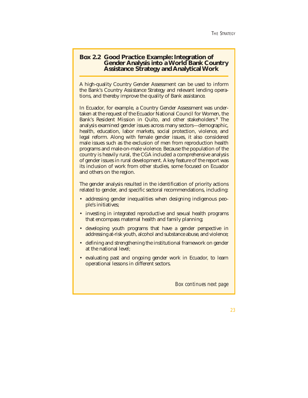# **Box 2.2 Good Practice Example: Integration of Gender Analysis into a World Bank Country Assistance Strategy and Analytical Work**

A high-quality Country Gender Assessment can be used to inform the Bank's Country Assistance Strategy and relevant lending operations, and thereby improve the quality of Bank assistance.

In Ecuador, for example, a Country Gender Assessment was undertaken at the request of the Ecuador National Council for Women, the Bank's Resident Mission in Quito, and other stakeholders.<sup>a</sup> The analysis examined gender issues across many sectors—demographic, health, education, labor markets, social protection, violence, and legal reform. Along with female gender issues, it also considered male issues such as the exclusion of men from reproduction health programs and male-on-male violence. Because the population of the country is heavily rural, the CGA included a comprehensive analysis of gender issues in rural development. A key feature of the report was its inclusion of work from other studies, some focused on Ecuador and others on the region.

The gender analysis resulted in the identification of priority actions related to gender, and specific sectoral recommendations, including:

- addressing gender inequalities when designing indigenous people's initiatives;
- investing in integrated reproductive and sexual health programs that encompass maternal health and family planning;
- developing youth programs that have a gender perspective in addressing at-risk youth, alcohol and substance abuse, and violence;
- defining and strengthening the institutional framework on gender at the national level;
- evaluating past and ongoing gender work in Ecuador, to learn operational lessons in different sectors.

*Box continues next page*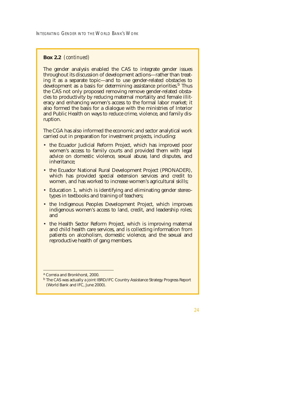## **Box 2.2** *(continued)*

The gender analysis enabled the CAS to integrate gender issues throughout its discussion of development actions—rather than treating it as a separate topic—and to use gender-related obstacles to development as a basis for determining assistance priorities.<sup>b</sup> Thus the CAS not only proposed removing remove gender-related obstacles to productivity by reducing maternal mortality and female illiteracy and enhancing women's access to the formal labor market; it also formed the basis for a dialogue with the ministries of Interior and Public Health on ways to reduce crime, violence, and family disruption.

The CGA has also informed the economic and sector analytical work carried out in preparation for investment projects, including:

- the Ecuador Judicial Reform Project, which has improved poor women's access to family courts and provided them with legal advice on domestic violence, sexual abuse, land disputes, and inheritance;
- the Ecuador National Rural Development Project (PRONADER), which has provided special extension services and credit to women, and has worked to increase women's agricultural skills;
- Education 1, which is identifying and eliminating gender stereotypes in textbooks and training of teachers;
- the Indigenous Peoples Development Project, which improves indigenous women's access to land, credit, and leadership roles; and
- the Health Sector Reform Project, which is improving maternal and child health care services, and is collecting information from patients on alcoholism, domestic violence, and the sexual and reproductive health of gang members.

<sup>a</sup> Correia and Bronkhorst, 2000.

<sup>b</sup> The CAS was actually a joint IBRD/IFC Country Assistance Strategy Progress Report (World Bank and IFC, June 2000).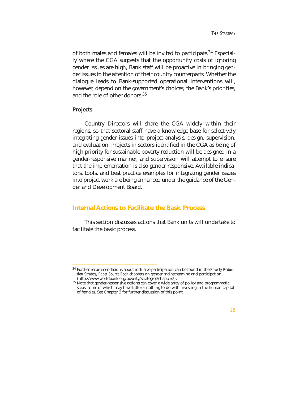of both males and females will be invited to participate.<sup>34</sup> Especially where the CGA suggests that the opportunity costs of ignoring gender issues are high, Bank staff will be proactive in bringing gender issues to the attention of their country counterparts. Whether the dialogue leads to Bank-supported operational interventions will, however, depend on the government's choices, the Bank's priorities, and the role of other donors.35

#### **Projects**

Country Directors will share the CGA widely within their regions, so that sectoral staff have a knowledge base for selectively integrating gender issues into project analysis, design, supervision, and evaluation. Projects in sectors identified in the CGA as being of high priority for sustainable poverty reduction will be designed in a gender-responsive manner, and supervision will attempt to ensure that the implementation is also gender responsive. Available indicators, tools, and best practice examples for integrating gender issues into project work are being enhanced under the guidance of the Gender and Development Board.

## **Internal Actions to Facilitate the Basic Process**

This section discusses actions that Bank units will undertake to facilitate the basic process.

<sup>34</sup> Further recommendations about inclusive participation can be found in the *Poverty Reduction Strategy Paper Source Book* chapters on gender mainstreaming and participation

 $35$  Note that gender-responsive actions can cover a wide array of policy and programmatic steps, some of which may have little or nothing to do with investing in the human capital of females. See Chapter 3 for further discussion of this point.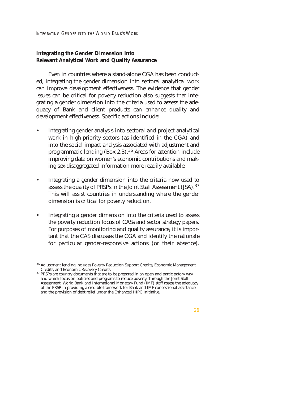# **Integrating the Gender Dimension into Relevant Analytical Work and Quality Assurance**

Even in countries where a stand-alone CGA has been conducted, integrating the gender dimension into sectoral analytical work can improve development effectiveness. The evidence that gender issues can be critical for poverty reduction also suggests that integrating a gender dimension into the criteria used to assess the adequacy of Bank and client products can enhance quality and development effectiveness. Specific actions include:

- Integrating gender analysis into sectoral and project analytical work in high-priority sectors (as identified in the CGA) and into the social impact analysis associated with adjustment and programmatic lending  $(Box 2.3).^{36}$  Areas for attention include improving data on women's economic contributions and making sex-disaggregated information more readily available.
- Integrating a gender dimension into the criteria now used to assess the quality of PRSPs in the Joint Staff Assessment (JSA).37 This will assist countries in understanding where the gender dimension is critical for poverty reduction.
- Integrating a gender dimension into the criteria used to assess the poverty reduction focus of CASs and sector strategy papers. For purposes of monitoring and quality assurance, it is important that the CAS discusses the CGA and identify the rationale for particular gender-responsive actions (or their absence).

 $^{36}$  Adjustment lending includes Poverty Reduction Support Credits, Economic Management Credits, and Economic Recovery Credits.

<sup>&</sup>lt;sup>37</sup> PRSPs are country documents that are to be prepared in an open and participatory way, and which focus on policies and programs to reduce poverty. Through the Joint Staff Assessment, World Bank and International Monetary Fund (IMF) staff assess the adequacy of the PRSP in providing a credible framework for Bank and IMF concessional assistance and the provision of debt relief under the Enhanced HIPC Initiative.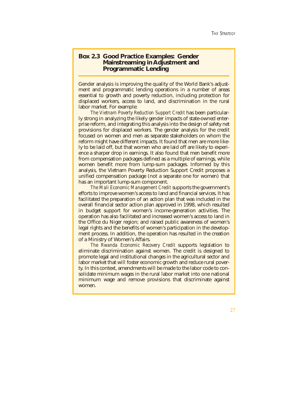## **Box 2.3 Good Practice Examples: Gender Mainstreaming in Adjustment and Programmatic Lending**

Gender analysis is improving the quality of the World Bank's adjustment and programmatic lending operations in a number of areas essential to growth and poverty reduction, including protection for displaced workers, access to land, and discrimination in the rural labor market. For example:

*The Vietnam Poverty Reduction Support Credit* has been particularly strong in analyzing the likely gender impacts of state-owned enterprise reform, and integrating this analysis into the design of safety net provisions for displaced workers. The gender analysis for the credit focused on women and men as separate stakeholders on whom the reform might have different impacts. It found that men are more likely to be laid off, but that women who are laid off are likely to experience a sharper drop in earnings. It also found that men benefit more from compensation packages defined as a multiple of earnings, while women benefit more from lump-sum packages. Informed by this analysis, the Vietnam Poverty Reduction Support Credit proposes a unified compensation package (not a separate one for women) that has an important lump-sum component.

*The Mali Economic Management Credit* supports the government's efforts to improve women's access to land and financial services. It has facilitated the preparation of an action plan that was included in the overall financial sector action plan approved in 1998, which resulted in budget support for women's income-generation activities. The operation has also facilitated and increased women's access to land in the Office du Niger region; and raised public awareness of women's legal rights and the benefits of women's participation in the development process. In addition, the operation has resulted in the creation of a Ministry of Women's Affairs.

*The Rwanda Economic Recovery Credit* supports legislation to eliminate discrimination against women. The credit is designed to promote legal and institutional changes in the agricultural sector and labor market that will foster economic growth and reduce rural poverty. In this context, amendments will be made to the labor code to consolidate minimum wages in the rural labor market into one national minimum wage and remove provisions that discriminate against women.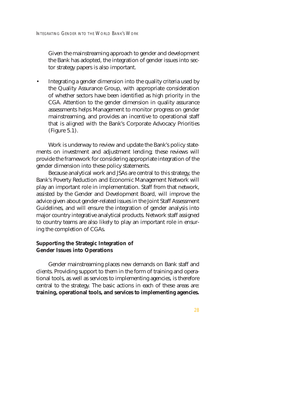Given the mainstreaming approach to gender and development the Bank has adopted, the integration of gender issues into sector strategy papers is also important.

• Integrating a gender dimension into the quality criteria used by the Quality Assurance Group, with appropriate consideration of whether sectors have been identified as high priority in the CGA. Attention to the gender dimension in quality assurance assessments helps Management to monitor progress on gender mainstreaming, and provides an incentive to operational staff that is aligned with the Bank's Corporate Advocacy Priorities (Figure 5.1).

Work is underway to review and update the Bank's policy statements on investment and adjustment lending; these reviews will provide the framework for considering appropriate integration of the gender dimension into these policy statements.

Because analytical work and JSAs are central to this strategy, the Bank's Poverty Reduction and Economic Management Network will play an important role in implementation. Staff from that network, assisted by the Gender and Development Board, will improve the advice given about gender-related issues in the Joint Staff Assessment Guidelines, and will ensure the integration of gender analysis into major country integrative analytical products. Network staff assigned to country teams are also likely to play an important role in ensuring the completion of CGAs.

## **Supporting the Strategic Integration of Gender Issues into Operations**

Gender mainstreaming places new demands on Bank staff and clients. Providing support to them in the form of training and operational tools, as well as services to implementing agencies, is therefore central to the strategy. The basic actions in each of these areas are: **training, operational tools, and services to implementing agencies.**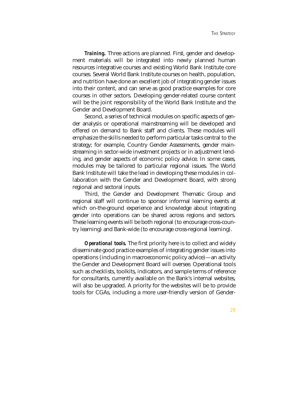*Training.* Three actions are planned. First, gender and development materials will be integrated into newly planned human resources integrative courses and existing World Bank Institute core courses. Several World Bank Institute courses on health, population, and nutrition have done an excellent job of integrating gender issues into their content, and can serve as good practice examples for core courses in other sectors. Developing gender-related course content will be the joint responsibility of the World Bank Institute and the Gender and Development Board.

Second, a series of technical modules on specific aspects of gender analysis or operational mainstreaming will be developed and offered on demand to Bank staff and clients. These modules will emphasize the skills needed to perform particular tasks central to the strategy; for example, Country Gender Assessments, gender mainstreaming in sector-wide investment projects or in adjustment lending, and gender aspects of economic policy advice. In some cases, modules may be tailored to particular regional issues. The World Bank Institute will take the lead in developing these modules in collaboration with the Gender and Development Board, with strong regional and sectoral inputs.

Third, the Gender and Development Thematic Group and regional staff will continue to sponsor informal learning events at which on-the-ground experience and knowledge about integrating gender into operations can be shared across regions and sectors. These learning events will be both regional (to encourage cross-country learning) and Bank-wide (to encourage cross-regional learning).

*Operational tools.* The first priority here is to collect and widely disseminate good practice examples of integrating gender issues into operations (including in macroeconomic policy advice)—an activity the Gender and Development Board will oversee. Operational tools such as checklists, toolkits, indicators, and sample terms of reference for consultants, currently available on the Bank's internal websites, will also be upgraded. A priority for the websites will be to provide tools for CGAs, including a more user-friendly version of Gender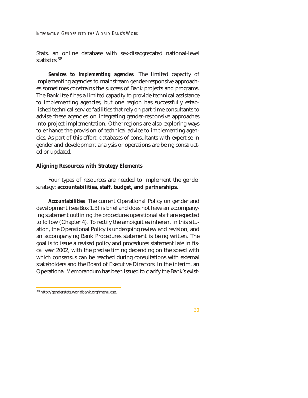INTEGRATING GENDER INTO THE WORLD BANK'S WORK

Stats, an online database with sex-disaggregated national-level statistics.<sup>38</sup>

*Services to implementing agencies.* The limited capacity of implementing agencies to mainstream gender-responsive approaches sometimes constrains the success of Bank projects and programs. The Bank itself has a limited capacity to provide technical assistance to implementing agencies, but one region has successfully established technical service facilities that rely on part-time consultants to advise these agencies on integrating gender-responsive approaches into project implementation. Other regions are also exploring ways to enhance the provision of technical advice to implementing agencies. As part of this effort, databases of consultants with expertise in gender and development analysis or operations are being constructed or updated.

### **Aligning Resources with Strategy Elements**

Four types of resources are needed to implement the gender strategy: **accountabilities, staff, budget, and partnerships.** 

*Accountabilities.* The current Operational Policy on gender and development (see Box 1.3) is brief and does not have an accompanying statement outlining the procedures operational staff are expected to follow (Chapter 4). To rectify the ambiguities inherent in this situation, the Operational Policy is undergoing review and revision, and an accompanying Bank Procedures statement is being written. The goal is to issue a revised policy and procedures statement late in fiscal year 2002, with the precise timing depending on the speed with which consensus can be reached during consultations with external stakeholders and the Board of Executive Directors. In the interim, an Operational Memorandum has been issued to clarify the Bank's exist-

<sup>38</sup> http://genderstats.worldbank.org/menu.asp.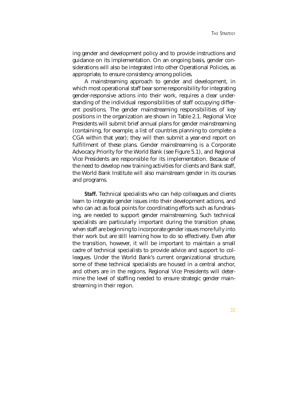ing gender and development policy and to provide instructions and guidance on its implementation. On an ongoing basis, gender considerations will also be integrated into other Operational Policies, as appropriate, to ensure consistency among policies.

A mainstreaming approach to gender and development, in which most operational staff bear some responsibility for integrating gender-responsive actions into their work, requires a clear understanding of the individual responsibilities of staff occupying different positions. The gender mainstreaming responsibilities of key positions in the organization are shown in Table 2.1. Regional Vice Presidents will submit brief annual plans for gender mainstreaming (containing, for example, a list of countries planning to complete a CGA within that year); they will then submit a year-end report on fulfillment of these plans. Gender mainstreaming is a Corporate Advocacy Priority for the World Bank (see Figure 5.1), and Regional Vice Presidents are responsible for its implementation. Because of the need to develop new training activities for clients and Bank staff, the World Bank Institute will also mainstream gender in its courses and programs.

*Staff.* Technical specialists who can help colleagues and clients learn to integrate gender issues into their development actions, and who can act as focal points for coordinating efforts such as fundraising, are needed to support gender mainstreaming. Such technical specialists are particularly important during the transition phase, when staff are beginning to incorporate gender issues more fully into their work but are still learning how to do so effectively. Even after the transition, however, it will be important to maintain a small cadre of technical specialists to provide advice and support to colleagues. Under the World Bank's current organizational structure, some of these technical specialists are housed in a central anchor, and others are in the regions. Regional Vice Presidents will determine the level of staffing needed to ensure strategic gender mainstreaming in their region.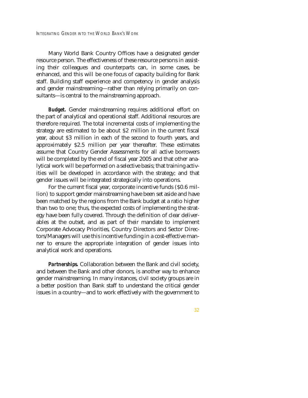Many World Bank Country Offices have a designated gender resource person. The effectiveness of these resource persons in assisting their colleagues and counterparts can, in some cases, be enhanced, and this will be one focus of capacity building for Bank staff. Building staff experience and competency in gender analysis and gender mainstreaming—rather than relying primarily on consultants—is central to the mainstreaming approach.

*Budget.* Gender mainstreaming requires additional effort on the part of analytical and operational staff. Additional resources are therefore required. The total incremental costs of implementing the strategy are estimated to be about \$2 million in the current fiscal year, about \$3 million in each of the second to fourth years, and approximately \$2.5 million per year thereafter. These estimates assume that Country Gender Assessments for all active borrowers will be completed by the end of fiscal year 2005 and that other analytical work will be performed on a selective basis; that training activities will be developed in accordance with the strategy; and that gender issues will be integrated strategically into operations.

For the current fiscal year, corporate incentive funds (\$0.6 million) to support gender mainstreaming have been set aside and have been matched by the regions from the Bank budget at a ratio higher than two to one; thus, the expected costs of implementing the strategy have been fully covered. Through the definition of clear deliverables at the outset, and as part of their mandate to implement Corporate Advocacy Priorities, Country Directors and Sector Directors/Managers will use this incentive funding in a cost-effective manner to ensure the appropriate integration of gender issues into analytical work and operations.

*Partnerships.* Collaboration between the Bank and civil society, and between the Bank and other donors, is another way to enhance gender mainstreaming. In many instances, civil society groups are in a better position than Bank staff to understand the critical gender issues in a country—and to work effectively with the government to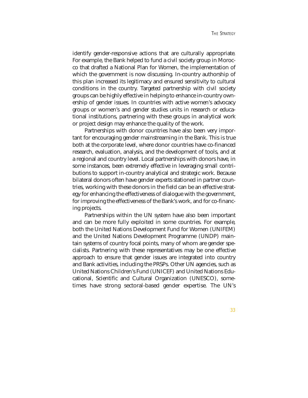identify gender-responsive actions that are culturally appropriate. For example, the Bank helped to fund a civil society group in Morocco that drafted a National Plan for Women, the implementation of which the government is now discussing. In-country authorship of this plan increased its legitimacy and ensured sensitivity to cultural conditions in the country. Targeted partnership with civil society groups can be highly effective in helping to enhance in-country ownership of gender issues. In countries with active women's advocacy groups or women's and gender studies units in research or educational institutions, partnering with these groups in analytical work or project design may enhance the quality of the work.

Partnerships with donor countries have also been very important for encouraging gender mainstreaming in the Bank. This is true both at the corporate level, where donor countries have co-financed research, evaluation, analysis, and the development of tools, and at a regional and country level. Local partnerships with donors have, in some instances, been extremely effective in leveraging small contributions to support in-country analytical and strategic work. Because bilateral donors often have gender experts stationed in partner countries, working with these donors in the field can be an effective strategy for enhancing the effectiveness of dialogue with the government, for improving the effectiveness of the Bank's work, and for co-financing projects.

Partnerships within the UN system have also been important and can be more fully exploited in some countries. For example, both the United Nations Development Fund for Women (UNIFEM) and the United Nations Development Programme (UNDP) maintain systems of country focal points, many of whom are gender specialists. Partnering with these representatives may be one effective approach to ensure that gender issues are integrated into country and Bank activities, including the PRSPs. Other UN agencies, such as United Nations Children's Fund (UNICEF) and United Nations Educational, Scientific and Cultural Organization (UNESCO), sometimes have strong sectoral-based gender expertise. The UN's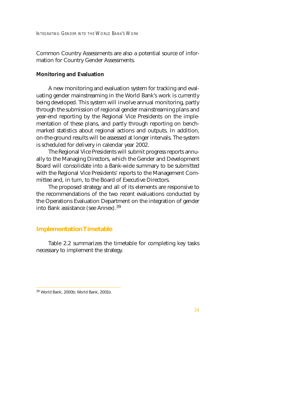Common Country Assessments are also a potential source of information for Country Gender Assessments.

#### **Monitoring and Evaluation**

A new monitoring and evaluation system for tracking and evaluating gender mainstreaming in the World Bank's work is currently being developed. This system will involve annual monitoring, partly through the submission of regional gender mainstreaming plans and year-end reporting by the Regional Vice Presidents on the implementation of these plans, and partly through reporting on benchmarked statistics about regional actions and outputs. In addition, on-the-ground results will be assessed at longer intervals. The system is scheduled for delivery in calendar year 2002.

The Regional Vice Presidents will submit progress reports annually to the Managing Directors, which the Gender and Development Board will consolidate into a Bank-wide summary to be submitted with the Regional Vice Presidents' reports to the Management Committee and, in turn, to the Board of Executive Directors.

The proposed strategy and all of its elements are responsive to the recommendations of the two recent evaluations conducted by the Operations Evaluation Department on the integration of gender into Bank assistance (see Annex).39

#### **Implementation Timetable**

Table 2.2 summarizes the timetable for completing key tasks necessary to implement the strategy.

<sup>39</sup> World Bank, 2000b; World Bank, 2001b.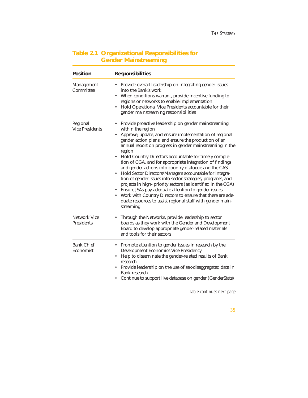# **Table 2.1 Organizational Responsibilities for Gender Mainstreaming**

| <b>Position</b>                          | <b>Responsibilities</b>                                                                                                                                                                                                                                                                                                                                                                                                                                                                                                                                                                                                                                                                                                                                                                                                                                                 |
|------------------------------------------|-------------------------------------------------------------------------------------------------------------------------------------------------------------------------------------------------------------------------------------------------------------------------------------------------------------------------------------------------------------------------------------------------------------------------------------------------------------------------------------------------------------------------------------------------------------------------------------------------------------------------------------------------------------------------------------------------------------------------------------------------------------------------------------------------------------------------------------------------------------------------|
| <b>Management</b><br>Committee           | • Provide overall leadership on integrating gender issues<br>into the Bank's work<br>When conditions warrant, provide incentive funding to<br>regions or networks to enable implementation<br>Hold Operational Vice Presidents accountable for their<br>gender mainstreaming responsibilities                                                                                                                                                                                                                                                                                                                                                                                                                                                                                                                                                                           |
| Regional<br><b>Vice Presidents</b>       | • Provide proactive leadership on gender mainstreaming<br>within the region<br>Approve, update, and ensure implementation of regional<br>$\bullet$<br>gender action plans, and ensure the production of an<br>annual report on progress in gender mainstreaming in the<br>region<br>Hold Country Directors accountable for timely comple-<br>$\bullet$<br>tion of CGA, and for appropriate integration of findings<br>and gender actions into country dialogue and the CAS<br>Hold Sector Directors/Managers accountable for integra-<br>tion of gender issues into sector strategies, programs, and<br>projects in high-priority sectors (as identified in the CGA)<br>• Ensure JSAs pay adequate attention to gender issues<br>• Work with Country Directors to ensure that there are ade-<br>quate resources to assist regional staff with gender main-<br>streaming |
| <b>Network Vice</b><br><b>Presidents</b> | Through the Networks, provide leadership to sector<br>boards as they work with the Gender and Development<br>Board to develop appropriate gender-related materials<br>and tools for their sectors                                                                                                                                                                                                                                                                                                                                                                                                                                                                                                                                                                                                                                                                       |
| <b>Bank Chief</b><br>Economist           | • Promote attention to gender issues in research by the<br><b>Development Economics Vice Presidency</b><br>• Help to disseminate the gender-related results of Bank<br>research<br>• Provide leadership on the use of sex-disaggregated data in<br><b>Bank</b> research<br>Continue to support live database on gender (GenderStats)                                                                                                                                                                                                                                                                                                                                                                                                                                                                                                                                    |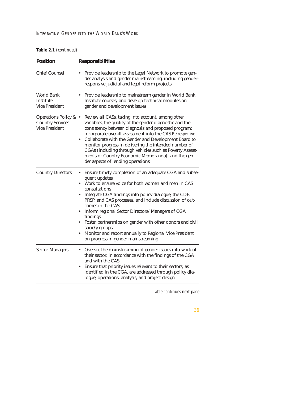| <b>Position</b>                                                           | <b>Responsibilities</b>                                                                                                                                                                                                                                                                                                                                                                                                                                                                                                                                                             |
|---------------------------------------------------------------------------|-------------------------------------------------------------------------------------------------------------------------------------------------------------------------------------------------------------------------------------------------------------------------------------------------------------------------------------------------------------------------------------------------------------------------------------------------------------------------------------------------------------------------------------------------------------------------------------|
| <b>Chief Counsel</b>                                                      | Provide leadership to the Legal Network to promote gen-<br>der analysis and gender mainstreaming, including gender-<br>responsive judicial and legal reform projects                                                                                                                                                                                                                                                                                                                                                                                                                |
| World Bank<br>Institute<br><b>Vice President</b>                          | Provide leadership to mainstream gender in World Bank<br>Institute courses, and develop technical modules on<br>gender and development issues                                                                                                                                                                                                                                                                                                                                                                                                                                       |
| Operations Policy & •<br><b>Country Services</b><br><b>Vice President</b> | Review all CASs, taking into account, among other<br>variables, the quality of the gender diagnostic and the<br>consistency between diagnosis and proposed program;<br>incorporate overall assessment into the CAS Retrospective<br>• Collaborate with the Gender and Development Board to<br>monitor progress in delivering the intended number of<br>CGAs (including through vehicles such as Poverty Assess-<br>ments or Country Economic Memoranda), and the gen-<br>der aspects of lending operations                                                                          |
| <b>Country Directors</b>                                                  | Ensure timely completion of an adequate CGA and subse-<br>quent updates<br>Work to ensure voice for both women and men in CAS<br>$\bullet$<br>consultations<br>Integrate CGA findings into policy dialogue, the CDF,<br>PRSP, and CAS processes, and include discussion of out-<br>comes in the CAS<br>Inform regional Sector Directors/ Managers of CGA<br>$\bullet$<br>findings<br>Foster partnerships on gender with other donors and civil<br>$\bullet$<br>society groups<br>Monitor and report annually to Regional Vice President<br>٠<br>on progress in gender mainstreaming |
| <b>Sector Managers</b>                                                    | Oversee the mainstreaming of gender issues into work of<br>their sector, in accordance with the findings of the CGA<br>and with the CAS<br>Ensure that priority issues relevant to their sectors, as<br>$\bullet$<br>identified in the CGA, are addressed through policy dia-<br>logue, operations, analysis, and project design                                                                                                                                                                                                                                                    |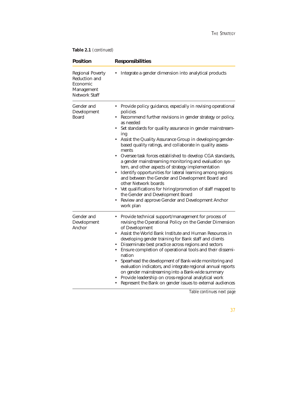**Table 2.1** *(continued)*

| <b>Position</b>                                                                            | <b>Responsibilities</b>                                                                                                                                                                                                                                                                                                                                                                                                                                                                                                                                                                                                                                                                                                                                                                                                                                               |
|--------------------------------------------------------------------------------------------|-----------------------------------------------------------------------------------------------------------------------------------------------------------------------------------------------------------------------------------------------------------------------------------------------------------------------------------------------------------------------------------------------------------------------------------------------------------------------------------------------------------------------------------------------------------------------------------------------------------------------------------------------------------------------------------------------------------------------------------------------------------------------------------------------------------------------------------------------------------------------|
| <b>Regional Poverty</b><br>Reduction and<br>Economic<br>Management<br><b>Network Staff</b> | Integrate a gender dimension into analytical products                                                                                                                                                                                                                                                                                                                                                                                                                                                                                                                                                                                                                                                                                                                                                                                                                 |
| Gender and<br>Development<br><b>Board</b>                                                  | Provide policy guidance, especially in revising operational<br>policies<br>Recommend further revisions in gender strategy or policy,<br>as needed<br>Set standards for quality assurance in gender mainstream-<br>٠<br>ing<br>Assist the Quality Assurance Group in developing gender-<br>$\bullet$<br>based quality ratings, and collaborate in quality assess-<br>ments<br>Oversee task forces established to develop CGA standards,<br>a gender mainstreaming monitoring and evaluation sys-<br>tem, and other aspects of strategy implementation<br>Identify opportunities for lateral learning among regions<br>and between the Gender and Development Board and<br>other Network boards<br>Vet qualifications for hiring/promotion of staff mapped to<br>٠<br>the Gender and Development Board<br>Review and approve Gender and Development Anchor<br>work plan |
| Gender and<br>Development<br>Anchor                                                        | Provide technical support/management for process of<br>revising the Operational Policy on the Gender Dimension<br>of Development<br>Assist the World Bank Institute and Human Resources in<br>$\bullet$<br>developing gender training for Bank staff and clients<br>Disseminate best practice across regions and sectors<br>$\bullet$<br>Ensure completion of operational tools and their dissemi-<br>nation<br>Spearhead the development of Bank-wide monitoring and<br>evaluation indicators, and integrate regional annual reports<br>on gender mainstreaming into a Bank-wide summary<br>Provide leadership on cross-regional analytical work<br>Represent the Bank on gender issues to external audiences                                                                                                                                                        |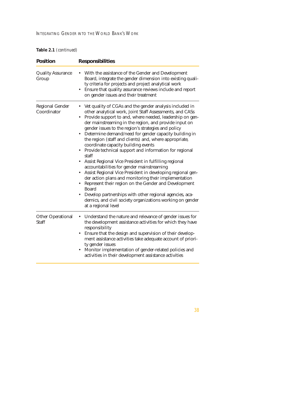## **Table 2.1** *(continued)*

| <b>Position</b>                          | <b>Responsibilities</b>                                                                                                                                                                                                                                                                                                                                                                                                                                                                                                                                                                                                                                                                                                                                                                                                                                                                                                                                                                                        |
|------------------------------------------|----------------------------------------------------------------------------------------------------------------------------------------------------------------------------------------------------------------------------------------------------------------------------------------------------------------------------------------------------------------------------------------------------------------------------------------------------------------------------------------------------------------------------------------------------------------------------------------------------------------------------------------------------------------------------------------------------------------------------------------------------------------------------------------------------------------------------------------------------------------------------------------------------------------------------------------------------------------------------------------------------------------|
| <b>Quality Assurance</b><br>Group        | With the assistance of the Gender and Development<br>Board, integrate the gender dimension into existing quali-<br>ty criteria for projects and project analytical work<br>Ensure that quality assurance reviews include and report<br>on gender issues and their treatment                                                                                                                                                                                                                                                                                                                                                                                                                                                                                                                                                                                                                                                                                                                                    |
| <b>Regional Gender</b><br>Coordinator    | Vet quality of CGAs and the gender analysis included in<br>٠<br>other analytical work, Joint Staff Assessments, and CASs<br>Provide support to and, where needed, leadership on gen-<br>$\bullet$<br>der mainstreaming in the region, and provide input on<br>gender issues to the region's strategies and policy<br>Determine demand/need for gender capacity building in<br>$\bullet$<br>the region (staff and clients) and, where appropriate,<br>coordinate capacity building events<br>Provide technical support and information for regional<br>staff<br>Assist Regional Vice President in fulfilling regional<br>accountabilities for gender mainstreaming<br>Assist Regional Vice President in developing regional gen-<br>der action plans and monitoring their implementation<br>Represent their region on the Gender and Development<br><b>Board</b><br>Develop partnerships with other regional agencies, aca-<br>demics, and civil society organizations working on gender<br>at a regional level |
| <b>Other Operational</b><br><b>Staff</b> | Understand the nature and relevance of gender issues for<br>the development assistance activities for which they have<br>responsibility<br>Ensure that the design and supervision of their develop-<br>$\bullet$<br>ment assistance activities take adequate account of priori-<br>ty gender issues<br>Monitor implementation of gender-related policies and<br>$\bullet$<br>activities in their development assistance activities                                                                                                                                                                                                                                                                                                                                                                                                                                                                                                                                                                             |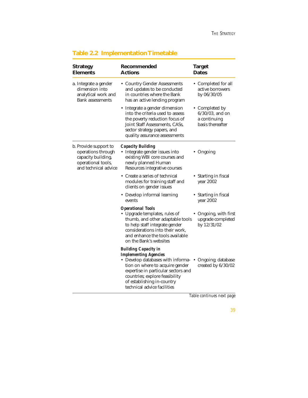| <b>Strategy</b><br><b>Elements</b>                                                                              | Recommended<br><b>Actions</b>                                                                                                                                                                                                                                             | <b>Target</b><br>Dates                                                   |
|-----------------------------------------------------------------------------------------------------------------|---------------------------------------------------------------------------------------------------------------------------------------------------------------------------------------------------------------------------------------------------------------------------|--------------------------------------------------------------------------|
| a. Integrate a gender<br>dimension into<br>analytical work and<br><b>Bank assessments</b>                       | • Country Gender Assessments<br>and updates to be conducted<br>in countries where the Bank<br>has an active lending program                                                                                                                                               | • Completed for all<br>active borrowers<br>by 06/30/05                   |
|                                                                                                                 | • Integrate a gender dimension<br>into the criteria used to assess<br>the poverty reduction focus of<br>Joint Staff Assessments, CASs,<br>sector strategy papers, and<br>quality assurance assessments                                                                    | • Completed by<br>$6/30/03$ , and on<br>a continuing<br>basis thereafter |
| b. Provide support to<br>operations through<br>capacity building,<br>operational tools,<br>and technical advice | <b>Capacity Building</b><br>• Integrate gender issues into<br>existing WBI core courses and<br>newly planned Human<br>Resources integrative courses                                                                                                                       | • Ongoing                                                                |
|                                                                                                                 | • Create a series of technical<br>modules for training staff and<br>clients on gender issues                                                                                                                                                                              | • Starting in fiscal<br>year 2002                                        |
|                                                                                                                 | • Develop informal learning<br>events                                                                                                                                                                                                                                     | • Starting in fiscal<br>year 2002                                        |
|                                                                                                                 | <b>Operational Tools</b><br>• Upgrade templates, rules of<br>thumb, and other adaptable tools<br>to help staff integrate gender<br>considerations into their work.<br>and enhance the tools available<br>on the Bank's websites                                           | Ongoing, with first<br>upgrade completed<br>by 12/31/02                  |
|                                                                                                                 | <b>Building Capacity in</b><br><b>Implementing Agencies</b><br>• Develop databases with informa-<br>tion on where to acquire gender<br>expertise in particular sectors and<br>countries; explore feasibility<br>of establishing in-country<br>technical advice facilities | Ongoing; database<br>created by 6/30/02                                  |

# **Table 2.2 Implementation Timetable**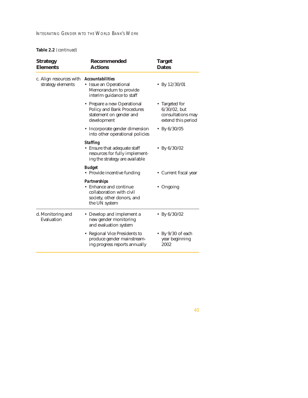# INTEGRATING GENDER INTO THE WORLD BANK'S WORK

**Table 2.2** *(continued)*

| <b>Strategy</b><br><b>Elements</b>           | Recommended<br><b>Actions</b>                                                                                            | <b>Target</b><br><b>Dates</b>                                                |
|----------------------------------------------|--------------------------------------------------------------------------------------------------------------------------|------------------------------------------------------------------------------|
| c. Align resources with<br>strategy elements | <b>Accountabilities</b><br>• Issue an Operational<br>Memorandum to provide<br>interim guidance to staff                  | • By $12/30/01$                                                              |
|                                              | • Prepare a new Operational<br><b>Policy and Bank Procedures</b><br>statement on gender and<br>development               | • Targeted for<br>$6/30/02$ , but<br>consultations may<br>extend this period |
|                                              | • Incorporate gender dimension<br>into other operational policies                                                        | • By $6/30/05$                                                               |
|                                              | <b>Staffing</b><br>• Ensure that adequate staff<br>resources for fully implement-<br>ing the strategy are available      | • By $6/30/02$                                                               |
|                                              | <b>Budget</b><br>• Provide incentive funding                                                                             | • Current fiscal year                                                        |
|                                              | <b>Partnerships</b><br>• Enhance and continue<br>collaboration with civil<br>society, other donors, and<br>the UN system | Ongoing                                                                      |
| d. Monitoring and<br>Evaluation              | • Develop and implement a<br>new gender monitoring<br>and evaluation system                                              | • By $6/30/02$                                                               |
|                                              | • Regional Vice Presidents to<br>produce gender mainstream-<br>ing progress reports annually                             | • By $9/30$ of each<br>year beginning<br>2002                                |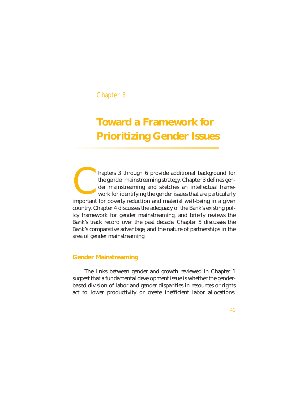# Chapter 3

# **Toward a Framework for Prioritizing Gender Issues**

hapters 3 through 6 provide additional background for the gender mainstreaming strategy. Chapter 3 defines gender mainstreaming and sketches an intellectual framework for identifying the gender issues that are particularly hapters 3 through 6 provide additional background for the gender mainstreaming strategy. Chapter 3 defines gender mainstreaming and sketches an intellectual framework for identifying the gender issues that are particularly country. Chapter 4 discusses the adequacy of the Bank's existing policy framework for gender mainstreaming, and briefly reviews the Bank's track record over the past decade. Chapter 5 discusses the Bank's comparative advantage, and the nature of partnerships in the area of gender mainstreaming.

## **Gender Mainstreaming**

The links between gender and growth reviewed in Chapter 1 suggest that a fundamental development issue is whether the genderbased division of labor and gender disparities in resources or rights act to lower productivity or create inefficient labor allocations.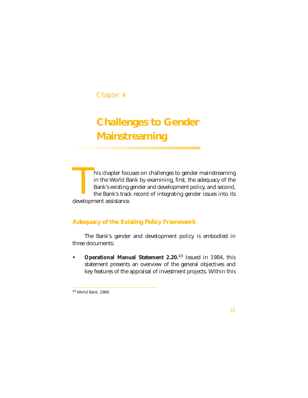# Chapter 4

# **Challenges to Gender Mainstreaming**

his chapter focuses on challenges to gender mainstreaming in the World Bank by examining, first, the adequacy of the Bank's existing gender and development policy, and second, the Bank's track record of integrating gender issues into its This chapter focu<br>
in the World Ba<br>
Bank's existing g<br>
the Bank's track<br>
development assistance.

# **Adequacy of the Existing Policy Framework**

The Bank's gender and development policy is embodied in three documents:

**• Operational Manual Statement 2.20.**<sup>43</sup> Issued in 1984, this statement presents an overview of the general objectives and key features of the appraisal of investment projects. Within this

<sup>43</sup> World Bank, 1984.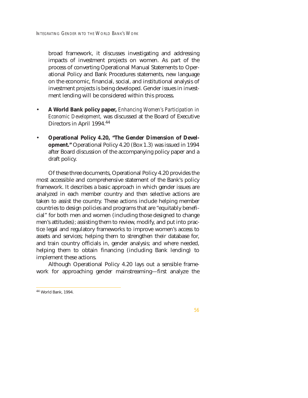broad framework, it discusses investigating and addressing impacts of investment projects on women. As part of the process of converting Operational Manual Statements to Operational Policy and Bank Procedures statements, new language on the economic, financial, social, and institutional analysis of investment projects is being developed. Gender issues in investment lending will be considered within this process.

- **A World Bank policy paper,** *Enhancing Women's Participation in Economic Development,* was discussed at the Board of Executive Directors in April 1994.44
- **Operational Policy 4.20, "The Gender Dimension of Development."** Operational Policy 4.20 (Box 1.3) was issued in 1994 after Board discussion of the accompanying policy paper and a draft policy.

Of these three documents, Operational Policy 4.20 provides the most accessible and comprehensive statement of the Bank's policy framework. It describes a basic approach in which gender issues are analyzed in each member country and then selective actions are taken to assist the country. These actions include helping member countries to design policies and programs that are "equitably beneficial" for both men and women (including those designed to change men's attitudes); assisting them to review, modify, and put into practice legal and regulatory frameworks to improve women's access to assets and services; helping them to strengthen their database for, and train country officials in, gender analysis; and where needed, helping them to obtain financing (including Bank lending) to implement these actions.

Although Operational Policy 4.20 lays out a sensible framework for approaching gender mainstreaming—first analyze the

<sup>44</sup> World Bank, 1994.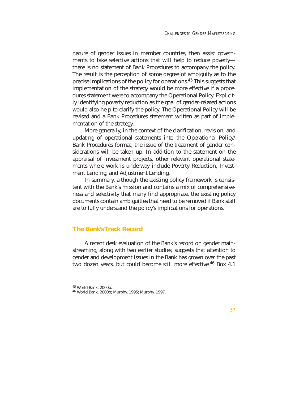nature of gender issues in member countries, then assist governments to take selective actions that will help to reduce poverty there is no statement of Bank Procedures to accompany the policy. The result is the perception of some degree of ambiguity as to the precise implications of the policy for operations.45 This suggests that implementation of the strategy would be more effective if a procedures statement were to accompany the Operational Policy. Explicitly identifying poverty reduction as the goal of gender-related actions would also help to clarify the policy. The Operational Policy will be revised and a Bank Procedures statement written as part of implementation of the strategy.

More generally, in the context of the clarification, revision, and updating of operational statements into the Operational Policy/ Bank Procedures format, the issue of the treatment of gender considerations will be taken up. In addition to the statement on the appraisal of investment projects, other relevant operational statements where work is underway include Poverty Reduction, Investment Lending, and Adjustment Lending.

In summary, although the existing policy framework is consistent with the Bank's mission and contains a mix of comprehensiveness and selectivity that many find appropriate, the existing policy documents contain ambiguities that need to be removed if Bank staff are to fully understand the policy's implications for operations.

## **The Bank's Track Record**

A recent desk evaluation of the Bank's record on gender mainstreaming, along with two earlier studies, suggests that attention to gender and development issues in the Bank has grown over the past two dozen years, but could become still more effective.<sup>46</sup> Box 4.1

 $45$  World Bank, 2000b.<br> $46$  World Bank, 2000b; Murphy, 1995; Murphy, 1997.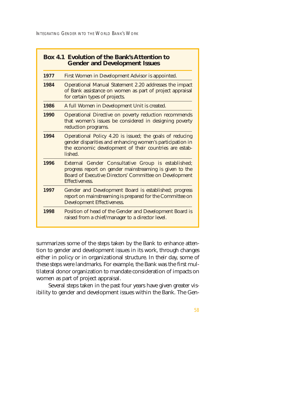INTEGRATING GENDER INTO THE WORLD BANK'S WORK

| 1977 | First Women in Development Advisor is appointed.                                                                                                                                                 |
|------|--------------------------------------------------------------------------------------------------------------------------------------------------------------------------------------------------|
| 1984 | Operational Manual Statement 2.20 addresses the impact<br>of Bank assistance on women as part of project appraisal<br>for certain types of projects.                                             |
| 1986 | A full Women in Development Unit is created.                                                                                                                                                     |
| 1990 | Operational Directive on poverty reduction recommends<br>that women's issues be considered in designing poverty<br>reduction programs.                                                           |
| 1994 | Operational Policy 4.20 is issued; the goals of reducing<br>gender disparities and enhancing women's participation in<br>the economic development of their countries are estab-<br>lished        |
| 1996 | External Gender Consultative Group is established;<br>progress report on gender mainstreaming is given to the<br><b>Board of Executive Directors' Committee on Development</b><br>Effectiveness. |
| 1997 | Gender and Development Board is established; progress<br>report on mainstreaming is prepared for the Committee on<br><b>Development Effectiveness.</b>                                           |
| 1998 | Position of head of the Gender and Development Board is<br>raised from a chief/manager to a director level.                                                                                      |

summarizes some of the steps taken by the Bank to enhance attention to gender and development issues in its work, through changes either in policy or in organizational structure. In their day, some of these steps were landmarks. For example, the Bank was the first multilateral donor organization to mandate consideration of impacts on women as part of project appraisal.

Several steps taken in the past four years have given greater visibility to gender and development issues within the Bank. The Gen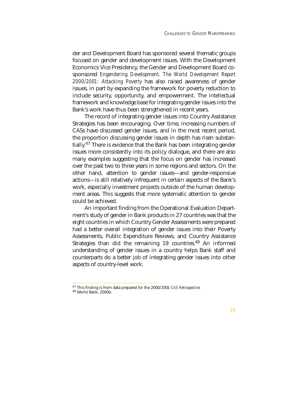der and Development Board has sponsored several thematic groups focused on gender and development issues. With the Development Economics Vice Presidency, the Gender and Development Board cosponsored *Engendering Development. The World Development Report 2000/2001: Attacking Poverty* has also raised awareness of gender issues, in part by expanding the framework for poverty reduction to include security, opportunity, and empowerment. The intellectual framework and knowledge base for integrating gender issues into the Bank's work have thus been strengthened in recent years.

The record of integrating gender issues into Country Assistance Strategies has been encouraging. Over time, increasing numbers of CASs have discussed gender issues, and in the most recent period, the proportion discussing gender issues in depth has risen substantially.<sup>47</sup> There is evidence that the Bank has been integrating gender issues more consistently into its policy dialogue, and there are also many examples suggesting that the focus on gender has increased over the past two to three years in some regions and sectors. On the other hand, attention to gender issues—and gender-responsive actions—is still relatively infrequent in certain aspects of the Bank's work, especially investment projects outside of the human development areas. This suggests that more systematic attention to gender could be achieved.

An important finding from the Operational Evaluation Department's study of gender in Bank products in 27 countries was that the eight countries in which Country Gender Assessments were prepared had a better overall integration of gender issues into their Poverty Assessments, Public Expenditure Reviews, and Country Assistance Strategies than did the remaining 19 countries.<sup>48</sup> An informed understanding of gender issues in a country helps Bank staff and counterparts do a better job of integrating gender issues into other aspects of country-level work.

<sup>47</sup> This finding is from data prepared for the 2000/2001 *CAS Retrospective.* <sup>48</sup> World Bank, 2000b.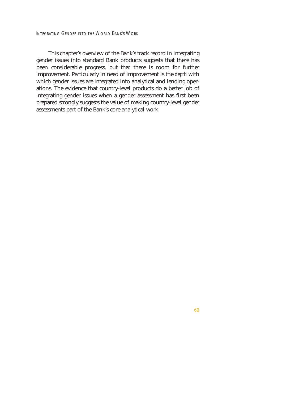INTEGRATING GENDER INTO THE WORLD BANK'S WORK

This chapter's overview of the Bank's track record in integrating gender issues into standard Bank products suggests that there has been considerable progress, but that there is room for further improvement. Particularly in need of improvement is the *depth* with which gender issues are integrated into analytical and lending operations. The evidence that country-level products do a better job of integrating gender issues when a gender assessment has first been prepared strongly suggests the value of making country-level gender assessments part of the Bank's core analytical work.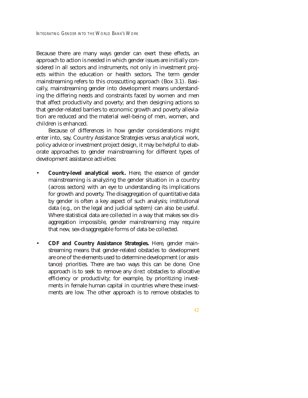Because there are many ways gender can exert these effects, an approach to action is needed in which gender issues are initially considered in all sectors and instruments, not only in investment projects within the education or health sectors. The term gender mainstreaming refers to this crosscutting approach (Box 3.1). Basically, mainstreaming gender into development means understanding the differing needs and constraints faced by women and men that affect productivity and poverty; and then designing actions so that gender-related barriers to economic growth and poverty alleviation are reduced and the material well-being of men, women, and children is enhanced.

Because of differences in how gender considerations might enter into, say, Country Assistance Strategies versus analytical work, policy advice or investment project design, it may be helpful to elaborate approaches to gender mainstreaming for different types of development assistance activities:

- **Country-level analytical work.** Here, the essence of gender mainstreaming is analyzing the gender situation in a country (across sectors) with an eye to understanding its implications for growth and poverty. The disaggregation of quantitative data by gender is often a key aspect of such analysis; institutional data (e.g., on the legal and judicial system) can also be useful. Where statistical data are collected in a way that makes sex disaggregation impossible, gender mainstreaming may require that new, sex-disaggregable forms of data be collected.
- **CDF and Country Assistance Strategies.** Here, gender mainstreaming means that gender-related obstacles to development are one of the elements used to determine development (or assistance) priorities. There are two ways this can be done. One approach is to seek to remove any *direct* obstacles to allocative efficiency or productivity; for example, by prioritizing investments in female human capital in countries where these investments are low. The other approach is to remove obstacles to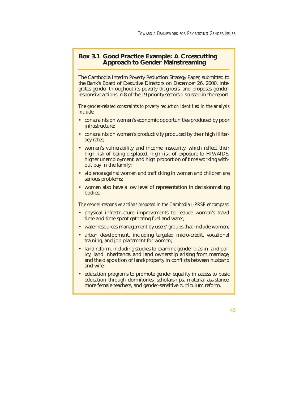# **Box 3.1 Good Practice Example: A Crosscutting Approach to Gender Mainstreaming**

The Cambodia Interim Poverty Reduction Strategy Paper, submitted to the Bank's Board of Executive Directors on December 26, 2000, integrates gender throughout its poverty diagnosis, and proposes genderresponsive actions in 8 of the 19 priority sectors discussed in the report.

*The gender-related constraints to poverty reduction identified in the analysis include:*

- constraints on women's economic opportunities produced by poor infrastructure;
- constraints on women's productivity produced by their high illiteracy rates;
- women's vulnerability and income insecurity, which reflect their high risk of being displaced, high risk of exposure to HIV/AIDS, higher unemployment, and high proportion of time working without pay in the family;
- violence against women and trafficking in women and children are serious problems;
- women also have a low level of representation in decisionmaking bodies.

*The gender-responsive actions proposed in the Cambodia I-PRSP encompass:*

- physical infrastructure improvements to reduce women's travel time and time spent gathering fuel and water;
- water resources management by users' groups that include women;
- urban development, including targeted micro-credit, vocational training, and job placement for women;
- land reform, including studies to examine gender bias in land policy, land inheritance, and land ownership arising from marriage, and the disposition of land/property in conflicts between husband and wife;
- education programs to promote gender equality in access to basic education through dormitories, scholarships, material assistance, more female teachers, and gender-sensitive curriculum reform.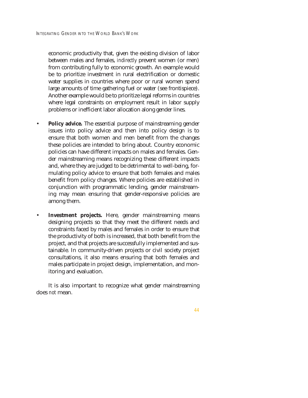economic productivity that, given the existing division of labor between males and females, *indirectly* prevent women (or men) from contributing fully to economic growth. An example would be to prioritize investment in rural electrification or domestic water supplies in countries where poor or rural women spend large amounts of time gathering fuel or water (see frontispiece). Another example would be to prioritize legal reforms in countries where legal constraints on employment result in labor supply problems or inefficient labor allocation along gender lines.

- **Policy advice.** The essential purpose of mainstreaming gender issues into policy advice and then into policy design is to ensure that both women and men benefit from the changes these policies are intended to bring about. Country economic policies can have different impacts on males and females. Gender mainstreaming means recognizing these different impacts and, where they are judged to be detrimental to well-being, formulating policy advice to ensure that both females and males benefit from policy changes. Where policies are established in conjunction with programmatic lending, gender mainstreaming may mean ensuring that gender-responsive policies are among them.
- **Investment projects.** Here, gender mainstreaming means designing projects so that they meet the different needs and constraints faced by males and females in order to ensure that the productivity of both is increased, that both benefit from the project, and that projects are successfully implemented and sustainable. In community-driven projects or civil society project consultations, it also means ensuring that both females and males participate in project design, implementation, and monitoring and evaluation.

It is also important to recognize what gender mainstreaming does *not* mean.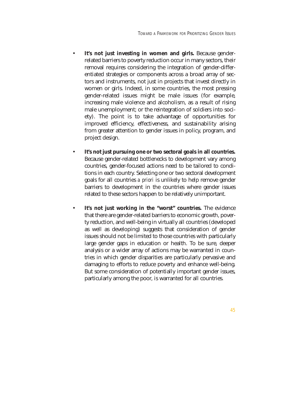- It's not just investing in women and girls. Because genderrelated barriers to poverty reduction occur in many sectors, their removal requires considering the integration of gender-differentiated strategies or components across a broad array of sectors and instruments, not just in projects that invest directly in women or girls. Indeed, in some countries, the most pressing gender-related issues might be male issues (for example, increasing male violence and alcoholism, as a result of rising male unemployment; or the reintegration of soldiers into society). The point is to take advantage of opportunities for improved efficiency, effectiveness, and sustainability arising from greater attention to gender issues in policy, program, and project design.
- **It's not just pursuing one or two sectoral goals in all countries.** Because gender-related bottlenecks to development vary among countries, gender-focused actions need to be tailored to conditions in each country. Selecting one or two sectoral development goals for all countries *a priori* is unlikely to help remove gender barriers to development in the countries where gender issues related to these sectors happen to be relatively unimportant.
- **It's not just working in the "worst" countries.** The evidence that there are gender-related barriers to economic growth, poverty reduction, and well-being in virtually all countries (developed as well as developing) suggests that consideration of gender issues should not be limited to those countries with particularly large gender gaps in education or health. To be sure, deeper analysis or a wider array of actions may be warranted in countries in which gender disparities are particularly pervasive and damaging to efforts to reduce poverty and enhance well-being. But some consideration of potentially important gender issues, particularly among the poor, is warranted for all countries.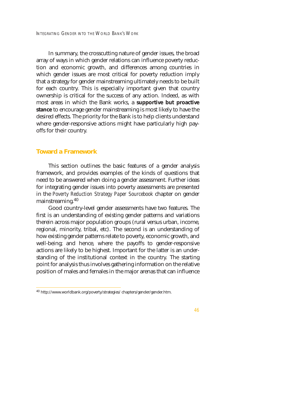In summary, the crosscutting nature of gender issues, the broad array of ways in which gender relations can influence poverty reduction and economic growth, and differences among countries in which gender issues are most critical for poverty reduction imply that a strategy for gender mainstreaming ultimately needs to be built for each country. This is especially important given that country ownership is critical for the success of any action. Indeed, as with most areas in which the Bank works, a **supportive but proactive stance** to encourage gender mainstreaming is most likely to have the desired effects. The priority for the Bank is to help clients understand where gender-responsive actions might have particularly high payoffs for their country.

## **Toward a Framework**

This section outlines the basic features of a gender analysis framework, and provides examples of the kinds of questions that need to be answered when doing a gender assessment. Further ideas for integrating gender issues into poverty assessments are presented in the *Poverty Reduction Strategy Paper Sourcebook* chapter on gender mainstreaming.<sup>40</sup>

Good country-level gender assessments have two features. The first is an understanding of existing gender patterns and variations therein across major population groups (rural versus urban, income, regional, minority, tribal, etc). The second is an understanding of how existing gender patterns relate to poverty, economic growth, and well-being; and hence, where the payoffs to gender-responsive actions are likely to be highest. Important for the latter is an understanding of the institutional context in the country. The starting point for analysis thus involves gathering information on the relative position of males and females in the major arenas that can influence

<sup>40</sup> http://www.worldbank.org/poverty/strategies/ chapters/gender/gender.htm.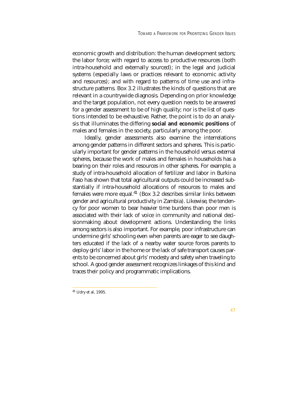economic growth and distribution: the human development sectors; the labor force; with regard to access to productive resources (both intra-household and externally sourced); in the legal and judicial systems (especially laws or practices relevant to economic activity and resources); and with regard to patterns of time use and infrastructure patterns. Box 3.2 illustrates the kinds of questions that are relevant in a countrywide diagnosis. Depending on prior knowledge and the target population, not every question needs to be answered for a gender assessment to be of high quality; nor is the list of questions intended to be exhaustive. Rather, the point is to do an analysis that illuminates the differing **social and economic positions** of males and females in the society, particularly among the poor.

Ideally, gender assessments also examine the interrelations among gender patterns in different sectors and spheres. This is particularly important for gender patterns in the household versus external spheres, because the work of males and females in households has a bearing on their roles and resources in other spheres. For example, a study of intra-household allocation of fertilizer and labor in Burkina Faso has shown that total agricultural outputs could be increased substantially if intra-household allocations of resources to males and females were more equal.<sup>41</sup> (Box 3.2 describes similar links between gender and agricultural productivity in Zambia). Likewise, the tendency for poor women to bear heavier time burdens than poor men is associated with their lack of voice in community and national decisionmaking about development actions. Understanding the links among sectors is also important. For example, poor infrastructure can undermine girls' schooling even when parents are eager to see daughters educated if the lack of a nearby water source forces parents to deploy girls' labor in the home or the lack of safe transport causes parents to be concerned about girls' modesty and safety when traveling to school. A good gender assessment recognizes linkages of this kind and traces their policy and programmatic implications.

<sup>41</sup> Udry et al, 1995.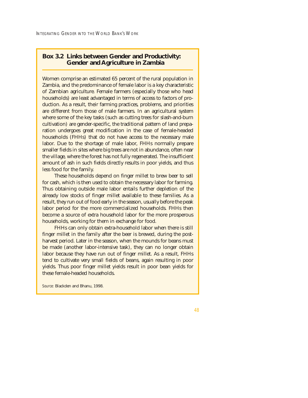# **Box 3.2 Links between Gender and Productivity: Gender and Agriculture in Zambia**

Women comprise an estimated 65 percent of the rural population in Zambia, and the predominance of female labor is a key characteristic of Zambian agriculture. Female farmers (especially those who head households) are least advantaged in terms of access to factors of production. As a result, their farming practices, problems, and priorities are different from those of male farmers. In an agricultural system where some of the key tasks (such as cutting trees for slash-and-burn cultivation) are gender-specific, the traditional pattern of land preparation undergoes great modification in the case of female-headed households (FHHs) that do not have access to the necessary male labor. Due to the shortage of male labor, FHHs normally prepare smaller fields in sites where big trees are not in abundance, often near the village, where the forest has not fully regenerated. The insufficient amount of ash in such fields directly results in poor yields, and thus less food for the family.

These households depend on finger millet to brew beer to sell for cash, which is then used to obtain the necessary labor for farming. Thus obtaining outside male labor entails further depletion of the already low stocks of finger millet available to these families. As a result, they run out of food early in the season, usually before the peak labor period for the more commercialized households. FHHs then become a source of extra household labor for the more prosperous households, working for them in exchange for food.

FHHs can only obtain extra-household labor when there is still finger millet in the family after the beer is brewed, during the postharvest period. Later in the season, when the mounds for beans must be made (another labor-intensive task), they can no longer obtain labor because they have run out of finger millet. As a result, FHHs tend to cultivate very small fields of beans, again resulting in poor yields. Thus poor finger millet yields result in poor bean yields for these female-headed households.

*Source:* Blackden and Bhanu, 1998.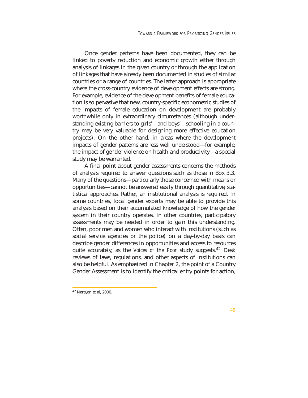Once gender patterns have been documented, they can be linked to poverty reduction and economic growth either through analysis of linkages in the given country or through the application of linkages that have already been documented in studies of similar countries or a range of countries. The latter approach is appropriate where the cross-country evidence of development effects are strong. For example, evidence of the development benefits of female education is so pervasive that new, country-specific econometric studies of the impacts of female education on development are probably worthwhile only in extraordinary circumstances (although understanding existing barriers to girls'—and boys'—schooling in a country may be very valuable for designing more effective education projects). On the other hand, in areas where the development impacts of gender patterns are less well understood—for example, the impact of gender violence on health and productivity—a special study may be warranted.

A final point about gender assessments concerns the methods of analysis required to answer questions such as those in Box 3.3. Many of the questions—particularly those concerned with means or opportunities—cannot be answered easily through quantitative, statistical approaches. Rather, an institutional analysis is required. In some countries, local gender experts may be able to provide this analysis based on their accumulated knowledge of how the gender system in their country operates. In other countries, participatory assessments may be needed in order to gain this understanding. Often, poor men and women who interact with institutions (such as social service agencies or the police) on a day-by-day basis can describe gender differences in opportunities and access to resources quite accurately, as the *Voices of the Poor* study suggests.<sup>42</sup> Desk reviews of laws, regulations, and other aspects of institutions can also be helpful. As emphasized in Chapter 2, the point of a Country Gender Assessment is to identify the critical entry points for action,

<sup>42</sup> Narayan et al, 2000.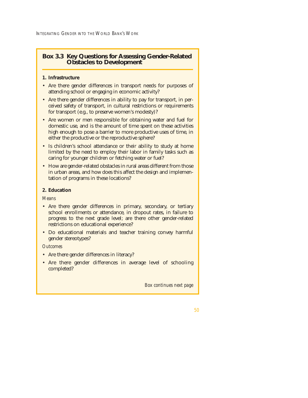INTEGRATING GENDER INTO THE WORLD BANK'S WORK

# **Box 3.3 Key Questions for Assessing Gender-Related Obstacles to Development**

## **1. Infrastructure**

- Are there gender differences in transport needs for purposes of attending school or engaging in economic activity?
- Are there gender differences in ability to pay for transport, in perceived safety of transport, in cultural restrictions or requirements for transport (e.g., to preserve women's modesty)?
- Are women or men responsible for obtaining water and fuel for domestic use, and is the amount of time spent on these activities high enough to pose a barrier to more productive uses of time, in either the productive or the reproductive sphere?
- Is children's school attendance or their ability to study at home limited by the need to employ their labor in family tasks such as caring for younger children or fetching water or fuel?
- How are gender-related obstacles in rural areas different from those in urban areas, and how does this affect the design and implementation of programs in these locations?

# **2. Education**

*Means* 

- Are there gender differences in primary, secondary, or tertiary school enrollments or attendance, in dropout rates, in failure to progress to the next grade level; are there other gender-related restrictions on educational experience?
- Do educational materials and teacher training convey harmful gender stereotypes?

## *Outcomes*

- Are there gender differences in literacy?
- Are there gender differences in average level of schooling completed?

*Box continues next page*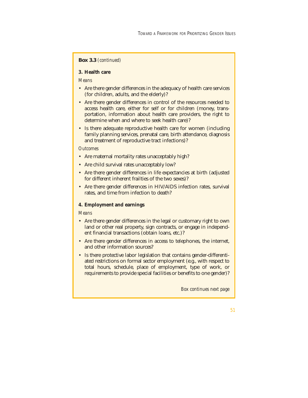## **Box 3.3** *(continued)*

## **3. Health care**

*Means* 

- Are there gender differences in the adequacy of health care services (for children, adults, and the elderly)?
- Are there gender differences in control of the resources needed to access health care, either for self or for children (money, transportation, information about health care providers, the right to determine when and where to seek health care)?
- Is there adequate reproductive health care for women (including family planning services, prenatal care, birth attendance, diagnosis and treatment of reproductive tract infections)?

## *Outcomes*

- Are maternal mortality rates unacceptably high?
- Are child survival rates unacceptably low?
- Are there gender differences in life expectancies at birth (adjusted for different inherent frailties of the two sexes)?
- Are there gender differences in HIV/AIDS infection rates, survival rates, and time from infection to death?

## **4. Employment and earnings**

## *Means*

- Are there gender differences in the legal or customary right to own land or other real property, sign contracts, or engage in independent financial transactions (obtain loans, etc.)?
- Are there gender differences in access to telephones, the internet, and other information sources?
- Is there protective labor legislation that contains gender-differentiated restrictions on formal sector employment (e.g., with respect to total hours, schedule, place of employment, type of work, or requirements to provide special facilities or benefits to one gender)?

*Box continues next page*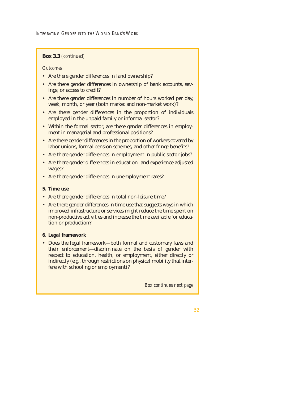INTEGRATING GENDER INTO THE WORLD BANK'S WORK

## **Box 3.3** *(continued)*

## *Outcomes*

- Are there gender differences in land ownership?
- Are there gender differences in ownership of bank accounts, savings, or access to credit?
- Are there gender differences in number of hours worked per day, week, month, or year (both market and non-market work)?
- Are there gender differences in the proportion of individuals employed in the unpaid family or informal sector?
- Within the formal sector, are there gender differences in employment in managerial and professional positions?
- Are there gender differences in the proportion of workers covered by labor unions, formal pension schemes, and other fringe benefits?
- Are there gender differences in employment in public sector jobs?
- Are there gender differences in education- and experience-adjusted wages?
- Are there gender differences in unemployment rates?

## **5. Time use**

- Are there gender differences in total non-leisure time?
- Are there gender differences in time use that suggests ways in which improved infrastructure or services might reduce the time spent on non-productive activities and increase the time available for education or production?

## **6. Legal framework**

• Does the legal framework—both formal and customary laws and their enforcement—discriminate on the basis of gender with respect to education, health, or employment, either directly or indirectly (e.g., through restrictions on physical mobility that interfere with schooling or employment)?

*Box continues next page*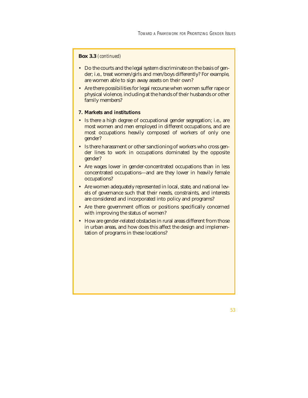## **Box 3.3** *(continued)*

- Do the courts and the legal system discriminate on the basis of gender; i.e., treat women/girls and men/boys differently? For example, are women able to sign away assets on their own?
- Are there possibilities for legal recourse when women suffer rape or physical violence, including at the hands of their husbands or other family members?

## **7. Markets and institutions**

- Is there a high degree of occupational gender segregation; i.e., are most women and men employed in different occupations, and are most occupations heavily composed of workers of only one gender?
- Is there harassment or other sanctioning of workers who cross gender lines to work in occupations dominated by the opposite gender?
- Are wages lower in gender-concentrated occupations than in less concentrated occupations—and are they lower in heavily female occupations?
- Are women adequately represented in local, state, and national levels of governance such that their needs, constraints, and interests are considered and incorporated into policy and programs?
- Are there government offices or positions specifically concerned with improving the status of women?
- How are gender-related obstacles in rural areas different from those in urban areas, and how does this affect the design and implementation of programs in these locations?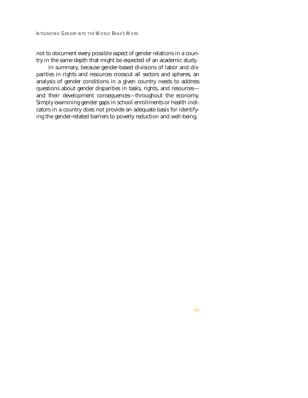not to document every possible aspect of gender relations in a country in the same depth that might be expected of an academic study.

In summary, because gender-based divisions of labor and disparities in rights and resources crosscut all sectors and spheres, an analysis of gender conditions in a given country needs to address questions about gender disparities in tasks, rights, and resources and their development consequences—throughout the economy. Simply examining gender gaps in school enrollments or health indicators in a country does not provide an adequate basis for identifying the gender-related barriers to poverty reduction and well-being.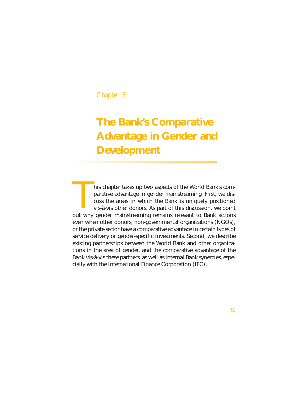## Chapter 5

# **The Bank's Comparative Advantage in Gender and Development**

his chapter takes up two aspects of the World Bank's comparative advantage in gender mainstreaming. First, we discuss the areas in which the Bank is uniquely positioned vis-à-vis other donors. As part of this discussion, we point This chapter takes up two aspects of the World Bank's comparative advantage in gender mainstreaming. First, we discuss the areas in which the Bank is uniquely positioned vis-à-vis other donors. As part of this discussion, even when other donors, non-governmental organizations (NGOs), or the private sector have a comparative advantage in certain types of service delivery or gender-specific investments. Second, we describe existing partnerships between the World Bank and other organizations in the area of gender, and the comparative advantage of the Bank vis-à-vis these partners, as well as internal Bank synergies, especially with the International Finance Corporation (IFC).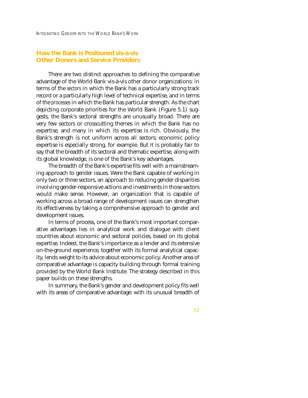## **How the Bank is Positioned vis-à-vis Other Donors and Service Providers**

There are two distinct approaches to defining the comparative advantage of the World Bank vis-à-vis other donor organizations: in terms of the *sectors* in which the Bank has a particularly strong track record or a particularly high level of technical expertise, and in terms of the *processes* in which the Bank has particular strength. As the chart depicting corporate priorities for the World Bank (Figure 5.1) suggests, the Bank's sectoral strengths are unusually broad. There are very few sectors or crosscutting themes in which the Bank has no expertise, and many in which its expertise is rich. Obviously, the Bank's strength is not uniform across all sectors; economic policy expertise is especially strong, for example. But it is probably fair to say that the breadth of its sectoral and thematic expertise, along with its global knowledge, is one of the Bank's key advantages.

The breadth of the Bank's expertise fits well with a mainstreaming approach to gender issues. Were the Bank capable of working in only two or three sectors, an approach to reducing gender disparities involving gender-responsive actions and investments in those sectors would make sense. However, an organization that is capable of working across a broad range of development issues can strengthen its effectiveness by taking a comprehensive approach to gender and development issues.

In terms of process, one of the Bank's most important comparative advantages lies in analytical work and dialogue with client countries about economic and sectoral policies, based on its global expertise. Indeed, the Bank's importance as a lender and its extensive on-the-ground experience, together with its formal analytical capacity, lends weight to its advice about economic policy. Another area of comparative advantage is capacity building through formal training provided by the World Bank Institute. The strategy described in this paper builds on these strengths.

In summary, the Bank's gender and development policy fits well with its areas of comparative advantage: with its unusual breadth of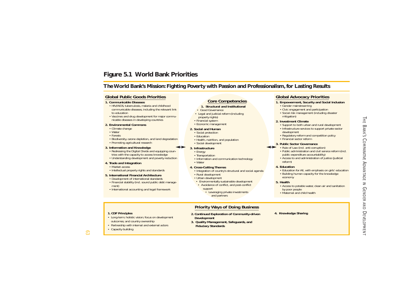## **Figure 5.1 World Bank Priorities**

## **The World Bank's Mission: Fighting Poverty with Passion and Professionalism, for Lasting Results**

### **Global Public Goods Priorities**

#### **1. Communicable Diseases**

- HIV/AIDS, tuberculosis, malaria and childhood communicable diseases, including the relevant link to education
- Vaccines and drug development for major communicable diseases in developing countries

#### **2. Environmental Commons**

- Climate change
- Water
- Forests
- Biodiversity, ozone depletion, and land degradation • Promoting agricultural research

#### **3. Information and Knowledge**

- Redressing the Digital Divide and equipping countries with the capacity to access knowledge
- Understanding development and poverty reduction

#### **4. Trade and Integration**

- Market access
- Intellectual property rights and standards

#### **5. International Financial Architecture**

- Development of international standards
- Financial stability (incl. sound public debt management)
- International accounting and legal framework

### **Core Competencies**

#### **1. Structural and Institutional**

- Good Governance
- Legal and judicial reform (including property rights)
- Financial system
- Economic management

#### **2. Social and Human**

- Social protection
- Education
- Health, nutrition, and population
- Social development

#### **3. Infrastructure**

- Energy
- Transportation
- Information and communication technology • Water

#### **4. Cross-Cutting Themes**

- Integration of country's structural and social agenda
- Rural development
- Urban development
- Environmentally sustainable development
- Avoidance of conflict, and post-conflict support
	- and partners

### **Global Advocacy Priorities**

#### **1. Empowerment, Security and Social Inclusion**

- Gender mainstreaming
- Civic engagement and participation
- Social risk management (including disaster mitigation)

#### **2. Investment Climate**

- Support to both urban and rural development • Infrastructure services to support private sector
- development • Regulatory reform and competition policy
- Financial sector reform

#### **3. Public Sector Governance**

### • Rule of Law (incl. anti-corruption)

- Public administration and civil service reform (incl. public expenditure accountability)
- Access to and administration of justice (judicial reform)

#### **4. Education**

- Education for All, with emphasis on girls' education
- Building human capacity for the knowledge economy

#### **5. Health**

- Access to potable water, clean air and sanitation by poor people
- Maternal and child health

#### **1. CDF Principles**

- Long-term, holistic vision; focus on development outcomes; and country ownership
- Partnership with internal and external actors
- Capacity building

## **Priority Ways of Doing Business**

- **2. Continued Exploration of Community-driven Development**
- **3. Quality Management, Safeguards, and Fiduciary Standards**
- **4. Knowledge Sharing**

 $\mathfrak{S}$ 

- -
	- Leveraging private investments
- -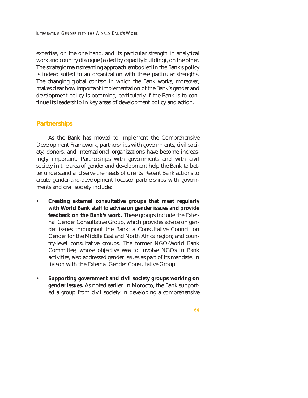expertise, on the one hand, and its particular strength in analytical work and country dialogue (aided by capacity building), on the other. The strategic mainstreaming approach embodied in the Bank's policy is indeed suited to an organization with these particular strengths. The changing global context in which the Bank works, moreover, makes clear how important implementation of the Bank's gender and development policy is becoming, particularly if the Bank is to continue its leadership in key areas of development policy and action.

## **Partnerships**

As the Bank has moved to implement the Comprehensive Development Framework, partnerships with governments, civil society, donors, and international organizations have become increasingly important. Partnerships with governments and with civil society in the area of gender and development help the Bank to better understand and serve the needs of clients. Recent Bank actions to create gender-and-development focused partnerships with governments and civil society include:

- **Creating external consultative groups that meet regularly with World Bank staff to advise on gender issues and provide feedback on the Bank's work.** These groups include the External Gender Consultative Group, which provides advice on gender issues throughout the Bank; a Consultative Council on Gender for the Middle East and North Africa region; and country-level consultative groups. The former NGO-World Bank Committee, whose objective was to involve NGOs in Bank activities, also addressed gender issues as part of its mandate, in liaison with the External Gender Consultative Group.
- **Supporting government and civil society groups working on gender issues.** As noted earlier, in Morocco, the Bank supported a group from civil society in developing a comprehensive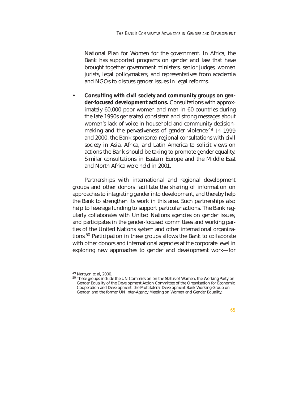National Plan for Women for the government. In Africa, the Bank has supported programs on gender and law that have brought together government ministers, senior judges, women jurists, legal policymakers, and representatives from academia and NGOs to discuss gender issues in legal reforms.

• **Consulting with civil society and community groups on gender-focused development actions.** Consultations with approximately 60,000 poor women and men in 60 countries during the late 1990s generated consistent and strong messages about women's lack of voice in household and community decisionmaking and the pervasiveness of gender violence.<sup>49</sup> In 1999 and 2000, the Bank sponsored regional consultations with civil society in Asia, Africa, and Latin America to solicit views on actions the Bank should be taking to promote gender equality. Similar consultations in Eastern Europe and the Middle East and North Africa were held in 2001.

Partnerships with international and regional development groups and other donors facilitate the sharing of information on approaches to integrating gender into development, and thereby help the Bank to strengthen its work in this area. Such partnerships also help to leverage funding to support particular actions. The Bank regularly collaborates with United Nations agencies on gender issues, and participates in the gender-focused committees and working parties of the United Nations system and other international organizations.50 Participation in these groups allows the Bank to collaborate with other donors and international agencies at the corporate level in exploring new approaches to gender and development work—for

 $^{49}$  Narayan et al, 2000.<br> $^{50}$  These groups include the UN Commission on the Status of Women, the Working Party on Gender Equality of the Development Action Committee of the Organisation for Economic Cooperation and Development, the Multilateral Development Bank Working Group on Gender, and the former UN Inter-Agency Meeting on Women and Gender Equality.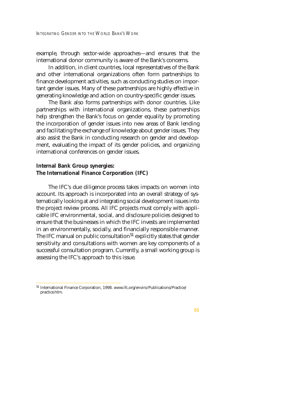example, through sector-wide approaches—and ensures that the international donor community is aware of the Bank's concerns.

In addition, in client countries, local representatives of the Bank and other international organizations often form partnerships to finance development activities, such as conducting studies on important gender issues. Many of these partnerships are highly effective in generating knowledge and action on country-specific gender issues.

The Bank also forms partnerships with donor countries. Like partnerships with international organizations, these partnerships help strengthen the Bank's focus on gender equality by promoting the incorporation of gender issues into new areas of Bank lending and facilitating the exchange of knowledge about gender issues. They also assist the Bank in conducting research on gender and development, evaluating the impact of its gender policies, and organizing international conferences on gender issues.

## **Internal Bank Group synergies: The International Finance Corporation (IFC)**

The IFC's due diligence process takes impacts on women into account. Its approach is incorporated into an overall strategy of systematically looking at and integrating social development issues into the project review process. All IFC projects must comply with applicable IFC environmental, social, and disclosure policies designed to ensure that the businesses in which the IFC invests are implemented in an environmentally, socially, and financially responsible manner. The IFC manual on public consultation<sup>51</sup> explicitly states that gender sensitivity and consultations with women are key components of a successful consultation program. Currently, a small working group is assessing the IFC's approach to this issue.

<sup>51</sup> International Finance Corporation, 1998. www.ifc.org/enviro/Publications/Practice/ practice.htm.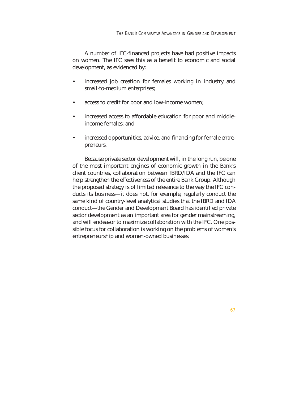A number of IFC-financed projects have had positive impacts on women. The IFC sees this as a benefit to economic and social development, as evidenced by:

- increased job creation for females working in industry and small-to-medium enterprises;
- access to credit for poor and low-income women;
- increased access to affordable education for poor and middleincome females; and
- increased opportunities, advice, and financing for female entrepreneurs.

Because private sector development will, in the long run, be one of the most important engines of economic growth in the Bank's client countries, collaboration between IBRD/IDA and the IFC can help strengthen the effectiveness of the entire Bank Group. Although the proposed strategy is of limited relevance to the way the IFC conducts its business—it does not, for example, regularly conduct the same kind of country-level analytical studies that the IBRD and IDA conduct—the Gender and Development Board has identified private sector development as an important area for gender mainstreaming, and will endeavor to maximize collaboration with the IFC. One possible focus for collaboration is working on the problems of women's entrepreneurship and women-owned businesses.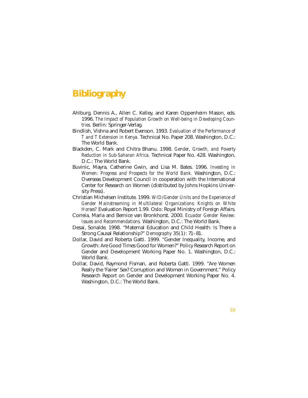# **Bibliography**

- Ahlburg, Dennis A., Allen C. Kelley, and Karen Oppenheim Mason, eds. 1996. *The Impact of Population Growth on Well-being in Developing Countries.* Berlin: Springer-Verlag.
- Bindlish, Vishna and Robert Evenson. 1993. *Evaluation of the Performance of T and T Extension in Kenya.* Technical No. Paper 208. Washington, D.C.: The World Bank.
- Blackden, C. Mark and Chitra Bhanu. 1998. *Gender, Growth, and Poverty Reduction in Sub-Saharan Africa.* Technical Paper No. 428. Washington, D.C.: The World Bank.
- Buvinic, Mayra, Catherine Gwin, and Lisa M. Bates. 1996. *Investing in Women: Progress and Prospects for the World Bank.* Washington, D.C.: Overseas Development Council in cooperation with the International Center for Research on Women (distributed by Johns Hopkins University Press).
- Christian Michelsen Institute. 1999. *WID/Gender Units and the Experience of Gender Mainstreaming in Multilateral Organizations: Knights on White Horses?* Evaluation Report 1.99. Oslo: Royal Ministry of Foreign Affairs.
- Correia, Maria and Bernice van Bronkhorst. 2000. *Ecuador Gender Review: Issues and Recommendations.* Washington, D.C.: The World Bank.
- Desai, Sonalde. 1998. "Maternal Education and Child Health: Is There a Strong Causal Relationship?" *Demography* 35(1): 71–81.
- Dollar, David and Roberta Gatti. 1999. "Gender Inequality, Income, and Growth: Are Good Times Good for Women?" Policy Research Report on Gender and Development Working Paper No. 1. Washington, D.C.: World Bank.
- Dollar, David, Raymond Fisman, and Roberta Gatti. 1999. "Are Women Really the 'Fairer' Sex? Corruption and Women in Government." Policy Research Report on Gender and Development Working Paper No. 4. Washington, D.C.: The World Bank.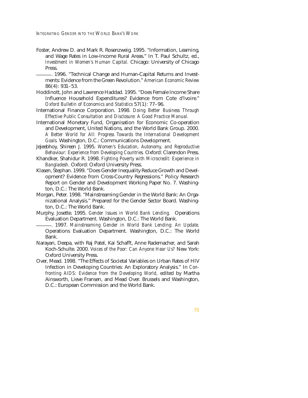- Foster, Andrew D. and Mark R. Rosenzweig. 1995. "Information, Learning, and Wage Rates in Low-Income Rural Areas." In T. Paul Schultz, ed., *Investment in Women's Human Capital.* Chicago: University of Chicago Press.<br>- 1996. "Technical Change and Human-Capital Returns and Invest
	- ments: Evidence from the Green Revolution." *American Economic Review* 86(4): 931–53.
- Hoddinott, John and Lawrence Haddad. 1995. "Does Female Income Share Influence Household Expenditures? Evidence from Cote d'Ivoire." *Oxford Bulletin of Economics and Statistics* 57(1): 77–96.
- International Finance Corporation. 1998. *Doing Better Business Through Effective Public Consultation and Disclosure: A Good Practice Manual.*
- International Monetary Fund, Organisation for Economic Co-operation and Development, United Nations, and the World Bank Group. 2000. *A Better World for All: Progress Towards the International Development Goals.* Washington, D.C.: Communications Development.
- Jejeebhoy, Shireen J. 1995. *Women's Education, Autonomy, and Reproductive Behaviour: Experience from Developing Countries.* Oxford: Clarendon Press.
- Khandker, Shahidur R. 1998. *Fighting Poverty with Microcredit: Experience in Bangladesh.* Oxford: Oxford University Press.
- Klasen, Stephan. 1999. "Does Gender Inequality Reduce Growth and Development? Evidence from Cross-Country Regressions." Policy Research Report on Gender and Development Working Paper No. 7. Washington, D.C.: The World Bank.
- Morgan, Peter. 1998. "Mainstreaming Gender in the World Bank: An Organizational Analysis." Prepared for the Gender Sector Board. Washington, D.C.: The World Bank.
- Murphy, Josette. 1995. *Gender Issues in World Bank Lending.* Operations Evaluation Department. Washington, D.C.: The World Bank. \_\_\_\_\_\_. 1997. *Mainstreaming Gender in World Bank Lending: An Update.*
- Operations Evaluation Department. Washington, D.C.: The World Bank.
- Narayan, Deepa, with Raj Patel, Kai Schafft, Anne Rademacher, and Sarah Koch-Schulte. 2000. *Voices of the Poor: Can Anyone Hear Us?* New York: Oxford University Press.
- Over, Mead. 1998. "The Effects of Societal Variables on Urban Rates of HIV Infection in Developing Countries: An Exploratory Analysis." In *Confronting AIDS: Evidence from the Developing World,* edited by Martha Ainsworth, Lieve Fransen, and Mead Over. Brussels and Washington, D.C.: European Commission and the World Bank.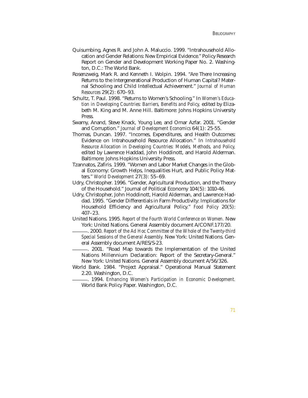- Quisumbing, Agnes R. and John A. Maluccio. 1999. "Intrahousehold Allocation and Gender Relations: New Empirical Evidence." Policy Research Report on Gender and Development Working Paper No. 2. Washington, D.C.: The World Bank.
- Rosenzweig, Mark R. and Kenneth I. Wolpin. 1994. "Are There Increasing Returns to the Intergenerational Production of Human Capital? Maternal Schooling and Child Intellectual Achievement." *Journal of Human Resources* 29(2): 670–93.
- Schultz, T. Paul. 1998. "Returns to Women's Schooling." In *Women's Education in Developing Countries: Barriers, Benefits and Policy,* edited by Elizabeth M. King and M. Anne Hill. Baltimore: Johns Hopkins University Press.
- Swamy, Anand, Steve Knack, Young Lee, and Omar Azfar. 2001. "Gender and Corruption." *Journal of Development Economics* 64(1): 25-55.
- Thomas, Duncan. 1997. "Incomes, Expenditures, and Health Outcomes: Evidence on Intrahousehold Resource Allocation." In *Intrahousehold Resource Allocation in Developing Countries: Models, Methods, and Policy,* edited by Lawrence Haddad, John Hoddinott, and Harold Alderman. Baltimore: Johns Hopkins University Press.
- Tzannatos, Zafiris. 1999. "Women and Labor Market Changes in the Global Economy: Growth Helps, Inequalities Hurt, and Public Policy Matters." *World Development* 27(3): 55–69.
- Udry, Christopher. 1996. "Gender, Agricultural Production, and the Theory of the Household." Journal of Political Economy 104(5): 1010-46.
- Udry, Christopher, John Hoddinott, Harold Alderman, and Lawrence Haddad. 1995. "Gender Differentials in Farm Productivity: Implications for Household Efficiency and Agricultural Policy." *Food Policy* 20(5): 407–23.
- United Nations. 1995. *Report of the Fourth World Conference on Women.* New York: United Nations. General Assembly document A/CONF.177/20. \_\_\_\_\_\_. 2000. *Report of the Ad Hoc Committee of the Whole of the Twenty-third*
- *Special Sessions of the General Assembly.* New York: United Nations. General Assembly document A/RES/S-23.<br>— 2001. "Road Map towards the Implementation of the United
- Nations Millennium Declaration: Report of the Secretary-General." New York: United Nations. General Assembly document A/56/326.
- World Bank. 1984. "Project Appraisal." Operational Manual Statement 2.20. Washington, D.C.<br>— 1994. *Enhancing Women's Participation in Economic Development.* 
	- World Bank Policy Paper. Washington, D.C.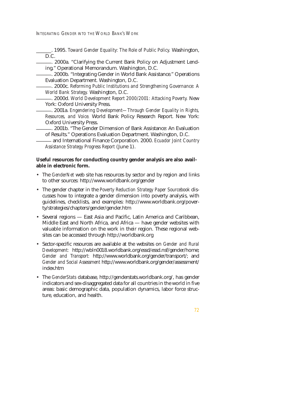INTEGRATING GENDER INTO THE WORLD BANK'S WORK

\_\_\_\_\_\_. 1995. *Toward Gender Equality: The Role of Public Policy.* Washington,

D.C. \_\_\_\_\_\_. 2000a. "Clarifying the Current Bank Policy on Adjustment Lending." Operational Memorandum. Washington, D.C. \_\_\_\_\_\_. 2000b. "Integrating Gender in World Bank Assistance." Operations

Evaluation Department. Washington, D.C. \_\_\_\_\_\_. 2000c. *Reforming Public Institutions and Strengthening Governance: A*

*World Bank Strategy. Washington, D.C. D.C. \_\_\_\_\_. 2000d. World Development Report 2000/2001: Attacking Poverty. New* 

York: Oxford University Press. \_\_\_\_\_\_. 2001a. *Engendering Development—Through Gender Equality in Rights, Resources, and Voice.* World Bank Policy Research Report. New York:

Oxford University Press. \_\_\_\_\_\_. 2001b. "The Gender Dimension of Bank Assistance: An Evaluation

of Results." Operations Evaluation Department. Washington, D.C. \_\_\_\_\_\_ and International Finance Corporation. 2000. *Ecuador Joint Country Assistance Strategy Progress Report* (June 1).

## **Useful resources for conducting country gender analysis are also available in electronic form.**

- The *GenderNet* web site has resources by sector and by region and links to other sources: http://www.worldbank.org/gender
- The gender chapter in the *Poverty Reduction Strategy Paper Sourcebook* discusses how to integrate a gender dimension into poverty analysis, with guidelines, checklists, and examples: http://www.worldbank.org/poverty/strategies/chapters/gender/gender.htm
- Several regions East Asia and Pacific, Latin America and Caribbean, Middle East and North Africa, and Africa — have gender websites with valuable information on the work in their region. These regional websites can be accessed through http://worldbank.org
- Sector-specific resources are available at the websites on *Gender and Rural Development:* http://wbln0018.worldbank.org/essd/essd.nsf/gender/home; *Gender and Transport:* http://www.worldbank.org/gender/transport/; and *Gender and Social Assessment* http://www.worldbank.org/gender/assessment/ index.htm
- The *GenderStats* database, http://genderstats.worldbank.org/, has gender indicators and sex-disaggregated data for all countries in the world in five areas: basic demographic data, population dynamics, labor force structure, education, and health.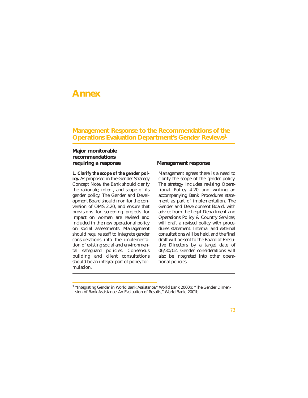## **Annex**

## **Management Response to the Recommendations of the Operations Evaluation Department's Gender Reviews<sup>1</sup>**

## **Major monitorable recommendations requiring a response Management response**

**1. Clarify the scope of the gender policy.** As proposed in the Gender Strategy Concept Note, the Bank should clarify the rationale, intent, and scope of its gender policy. The Gender and Development Board should monitor the conversion of OMS 2.20, and ensure that provisions for screening projects for impact on women are revised and included in the new operational policy on social assessments. Management should require staff to integrate gender considerations into the implementation of existing social and environmental safeguard policies. Consensus building and client consultations should be an integral part of policy formulation.

Management agrees there is a need to clarify the scope of the gender policy. The strategy includes revising Operational Policy 4.20 and writing an accompanying Bank Procedures statement as part of implementation. The Gender and Development Board, with advice from the Legal Department and Operations Policy & Country Services, will draft a revised policy with procedures statement. Internal and external consultations will be held, and the final draft will be sent to the Board of Executive Directors by a target date of 06/30/02. Gender considerations will also be integrated into other operational policies.

<sup>&</sup>lt;sup>1</sup> "Integrating Gender in World Bank Assistance," World Bank 2000b; "The Gender Dimension of Bank Assistance: An Evaluation of Results," World Bank, 2001b.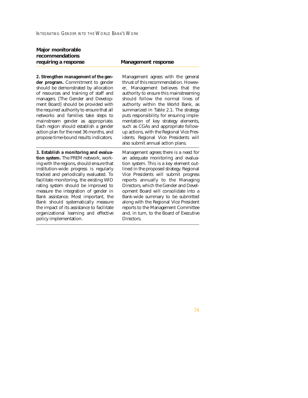# **Major monitorable recommendations**

## **requiring a response Management response**

**2. Strengthen management of the gender program.** Commitment to gender should be demonstrated by allocation of resources and training of staff and managers. [The Gender and Development Board] should be provided with the required authority to ensure that all networks and families take steps to mainstream gender as appropriate. Each region should establish a gender action plan for the next 36 months, and propose time-bound results indicators.

**3. Establish a monitoring and evaluation system.** The PREM network, working with the regions, should ensure that institution-wide progress is regularly tracked and periodically evaluated. To facilitate monitoring, the existing WID rating system should be improved to measure the integration of gender in Bank assistance. Most important, the Bank should systematically measure the impact of its assistance to facilitate organizational learning and effective policy implementation.

Management agrees with the general thrust of this recommendation. However, Management believes that the authority to ensure this mainstreaming should follow the normal lines of authority within the World Bank, as summarized in Table 2.1. The strategy puts responsibility for ensuring implementation of key strategy elements, such as CGAs and appropriate followup actions, with the Regional Vice Presidents. Regional Vice Presidents will also submit annual action plans.

Management agrees there is a need for an adequate monitoring and evaluation system. This is a key element outlined in the proposed strategy. Regional Vice Presidents will submit progress reports annually to the Managing Directors, which the Gender and Development Board will consolidate into a Bank-wide summary to be submitted along with the Regional Vice President reports to the Management Committee and, in turn, to the Board of Executive Directors.